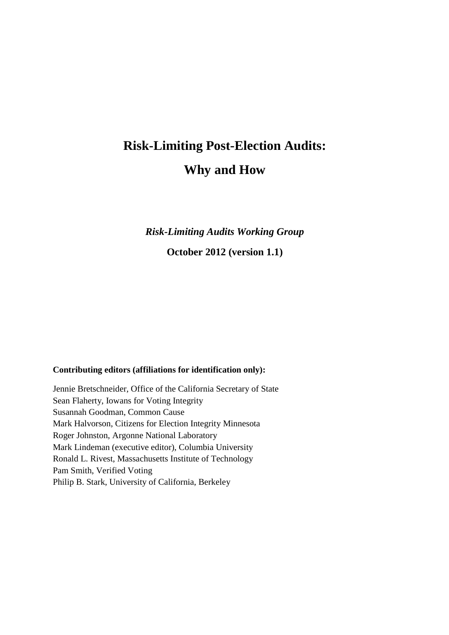# **Risk-Limiting Post-Election Audits: Why and How**

*Risk-Limiting Audits Working Group*

**October 2012 (version 1.1)** 

#### **Contributing editors (affiliations for identification only):**

Jennie Bretschneider, Office of the California Secretary of State Sean Flaherty, Iowans for Voting Integrity Susannah Goodman, Common Cause Mark Halvorson, Citizens for Election Integrity Minnesota Roger Johnston, Argonne National Laboratory Mark Lindeman (executive editor), Columbia University Ronald L. Rivest, Massachusetts Institute of Technology Pam Smith, Verified Voting Philip B. Stark, University of California, Berkeley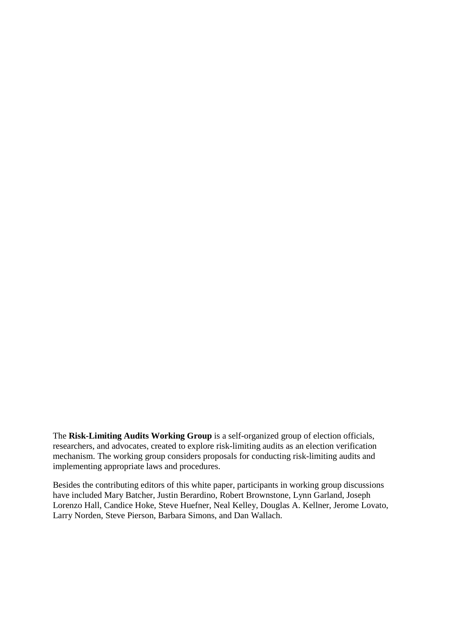The **Risk-Limiting Audits Working Group** is a self-organized group of election officials, researchers, and advocates, created to explore risk-limiting audits as an election verification mechanism. The working group considers proposals for conducting risk-limiting audits and implementing appropriate laws and procedures.

Besides the contributing editors of this white paper, participants in working group discussions have included Mary Batcher, Justin Berardino, Robert Brownstone, Lynn Garland, Joseph Lorenzo Hall, Candice Hoke, Steve Huefner, Neal Kelley, Douglas A. Kellner, Jerome Lovato, Larry Norden, Steve Pierson, Barbara Simons, and Dan Wallach.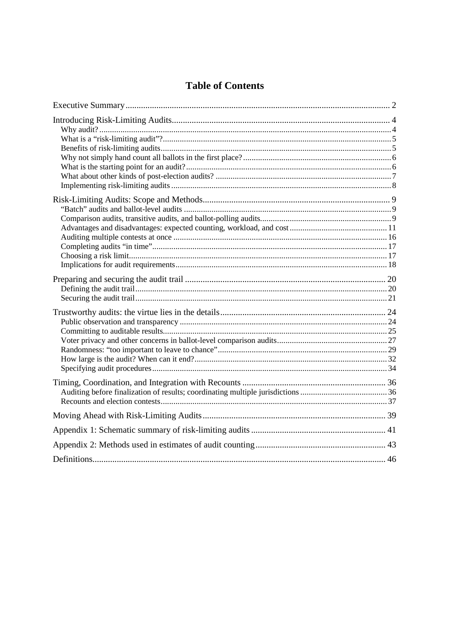# **Table of Contents**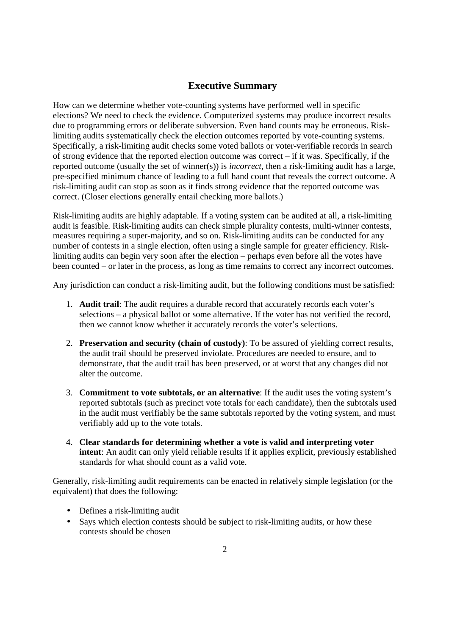# **Executive Summary**

How can we determine whether vote-counting systems have performed well in specific elections? We need to check the evidence. Computerized systems may produce incorrect results due to programming errors or deliberate subversion. Even hand counts may be erroneous. Risklimiting audits systematically check the election outcomes reported by vote-counting systems. Specifically, a risk-limiting audit checks some voted ballots or voter-verifiable records in search of strong evidence that the reported election outcome was correct – if it was. Specifically, if the reported outcome (usually the set of winner(s)) is *incorrect*, then a risk-limiting audit has a large, pre-specified minimum chance of leading to a full hand count that reveals the correct outcome. A risk-limiting audit can stop as soon as it finds strong evidence that the reported outcome was correct. (Closer elections generally entail checking more ballots.)

Risk-limiting audits are highly adaptable. If a voting system can be audited at all, a risk-limiting audit is feasible. Risk-limiting audits can check simple plurality contests, multi-winner contests, measures requiring a super-majority, and so on. Risk-limiting audits can be conducted for any number of contests in a single election, often using a single sample for greater efficiency. Risklimiting audits can begin very soon after the election – perhaps even before all the votes have been counted – or later in the process, as long as time remains to correct any incorrect outcomes.

Any jurisdiction can conduct a risk-limiting audit, but the following conditions must be satisfied:

- 1. **Audit trail**: The audit requires a durable record that accurately records each voter's selections – a physical ballot or some alternative. If the voter has not verified the record, then we cannot know whether it accurately records the voter's selections.
- 2. **Preservation and security (chain of custody)**: To be assured of yielding correct results, the audit trail should be preserved inviolate. Procedures are needed to ensure, and to demonstrate, that the audit trail has been preserved, or at worst that any changes did not alter the outcome.
- 3. **Commitment to vote subtotals, or an alternative**: If the audit uses the voting system's reported subtotals (such as precinct vote totals for each candidate), then the subtotals used in the audit must verifiably be the same subtotals reported by the voting system, and must verifiably add up to the vote totals.
- 4. **Clear standards for determining whether a vote is valid and interpreting voter intent**: An audit can only yield reliable results if it applies explicit, previously established standards for what should count as a valid vote.

Generally, risk-limiting audit requirements can be enacted in relatively simple legislation (or the equivalent) that does the following:

- Defines a risk-limiting audit
- Says which election contests should be subject to risk-limiting audits, or how these contests should be chosen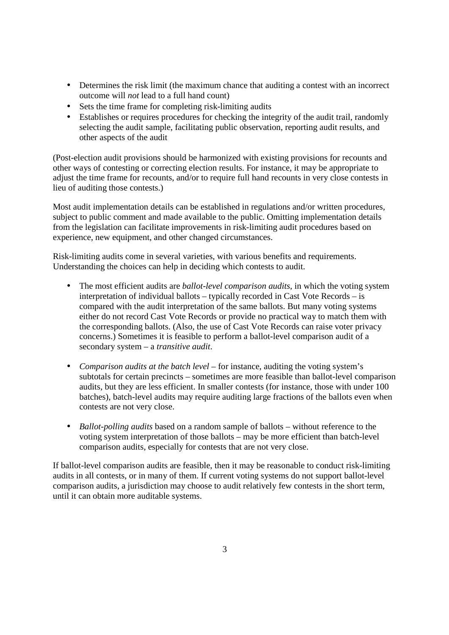- Determines the risk limit (the maximum chance that auditing a contest with an incorrect outcome will *not* lead to a full hand count)
- Sets the time frame for completing risk-limiting audits
- Establishes or requires procedures for checking the integrity of the audit trail, randomly selecting the audit sample, facilitating public observation, reporting audit results, and other aspects of the audit

(Post-election audit provisions should be harmonized with existing provisions for recounts and other ways of contesting or correcting election results. For instance, it may be appropriate to adjust the time frame for recounts, and/or to require full hand recounts in very close contests in lieu of auditing those contests.)

Most audit implementation details can be established in regulations and/or written procedures, subject to public comment and made available to the public. Omitting implementation details from the legislation can facilitate improvements in risk-limiting audit procedures based on experience, new equipment, and other changed circumstances.

Risk-limiting audits come in several varieties, with various benefits and requirements. Understanding the choices can help in deciding which contests to audit.

- The most efficient audits are *ballot-level comparison audits*, in which the voting system interpretation of individual ballots – typically recorded in Cast Vote Records – is compared with the audit interpretation of the same ballots. But many voting systems either do not record Cast Vote Records or provide no practical way to match them with the corresponding ballots. (Also, the use of Cast Vote Records can raise voter privacy concerns.) Sometimes it is feasible to perform a ballot-level comparison audit of a secondary system – a *transitive audit*.
- *Comparison audits at the batch level* for instance, auditing the voting system's subtotals for certain precincts – sometimes are more feasible than ballot-level comparison audits, but they are less efficient. In smaller contests (for instance, those with under 100 batches), batch-level audits may require auditing large fractions of the ballots even when contests are not very close.
- *Ballot-polling audits* based on a random sample of ballots without reference to the voting system interpretation of those ballots – may be more efficient than batch-level comparison audits, especially for contests that are not very close.

If ballot-level comparison audits are feasible, then it may be reasonable to conduct risk-limiting audits in all contests, or in many of them. If current voting systems do not support ballot-level comparison audits, a jurisdiction may choose to audit relatively few contests in the short term, until it can obtain more auditable systems.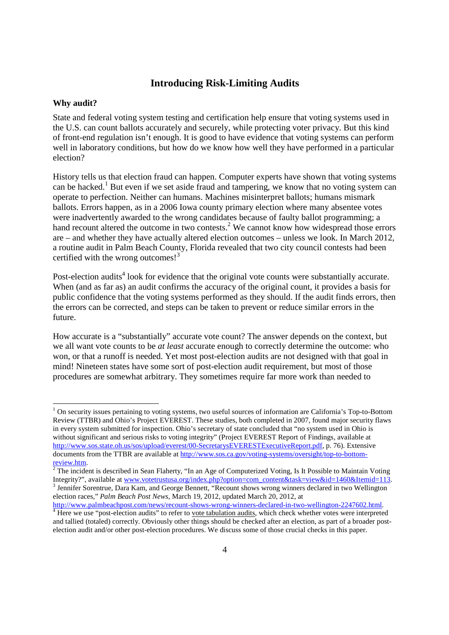## **Introducing Risk-Limiting Audits**

#### **Why audit?**

-

State and federal voting system testing and certification help ensure that voting systems used in the U.S. can count ballots accurately and securely, while protecting voter privacy. But this kind of front-end regulation isn't enough. It is good to have evidence that voting systems can perform well in laboratory conditions, but how do we know how well they have performed in a particular election?

History tells us that election fraud can happen. Computer experts have shown that voting systems can be hacked.<sup>1</sup> But even if we set aside fraud and tampering, we know that no voting system can operate to perfection. Neither can humans. Machines misinterpret ballots; humans mismark ballots. Errors happen, as in a 2006 Iowa county primary election where many absentee votes were inadvertently awarded to the wrong candidates because of faulty ballot programming; a hand recount altered the outcome in two contests.<sup>2</sup> We cannot know how widespread those errors are – and whether they have actually altered election outcomes – unless we look. In March 2012, a routine audit in Palm Beach County, Florida revealed that two city council contests had been certified with the wrong outcomes! $3<sup>3</sup>$ 

Post-election audits<sup>4</sup> look for evidence that the original vote counts were substantially accurate. When (and as far as) an audit confirms the accuracy of the original count, it provides a basis for public confidence that the voting systems performed as they should. If the audit finds errors, then the errors can be corrected, and steps can be taken to prevent or reduce similar errors in the future.

How accurate is a "substantially" accurate vote count? The answer depends on the context, but we all want vote counts to be *at least* accurate enough to correctly determine the outcome: who won, or that a runoff is needed. Yet most post-election audits are not designed with that goal in mind! Nineteen states have some sort of post-election audit requirement, but most of those procedures are somewhat arbitrary. They sometimes require far more work than needed to

<sup>&</sup>lt;sup>1</sup> On security issues pertaining to voting systems, two useful sources of information are California's Top-to-Bottom Review (TTBR) and Ohio's Project EVEREST. These studies, both completed in 2007, found major security flaws in every system submitted for inspection. Ohio's secretary of state concluded that "no system used in Ohio is without significant and serious risks to voting integrity" (Project EVEREST Report of Findings, available at http://www.sos.state.oh.us/sos/upload/everest/00-SecretarysEVERESTExecutiveReport.pdf, p. 76). Extensive documents from the TTBR are available at http://www.sos.ca.gov/voting-systems/oversight/top-to-bottom-

<sup>&</sup>lt;mark>review.htm</mark>.<br><sup>2</sup> The incident is described in Sean Flaherty, ''In an Age of Computerized Voting, Is It Possible to Maintain Voting Integrity?", available at <u>www.votetrustusa.org/index.php?option=com\_content&task=view&id=1460&Itemid=113</u>.<br><sup>3</sup> Jennifer Sorentrue, Dara Kam, and George Bennett, "Recount shows wrong winners declared in two Wellington election races," *Palm Beach Post News*, March 19, 2012, updated March 20, 2012, at

http://www.palmbeachpost.com/news/recount-shows-wrong-winners-declared-in-two-wellington-2247602.html.<br><sup>4</sup> Here we use "post-election audits" to refer to <u>vote tabulation audits</u>, which check whether votes were interpreted and tallied (totaled) correctly. Obviously other things should be checked after an election, as part of a broader postelection audit and/or other post-election procedures. We discuss some of those crucial checks in this paper.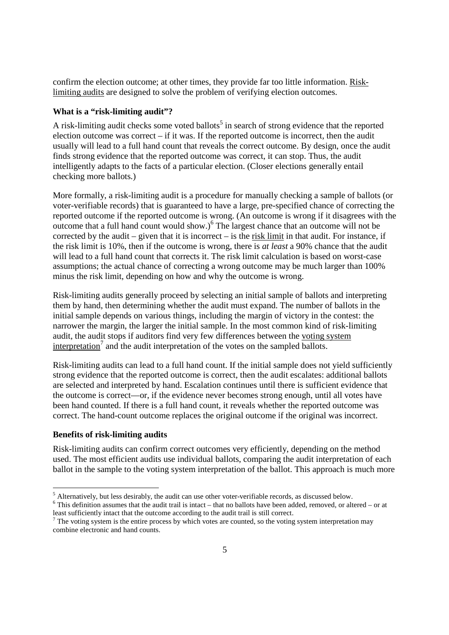confirm the election outcome; at other times, they provide far too little information. Risklimiting audits are designed to solve the problem of verifying election outcomes.

#### **What is a "risk-limiting audit"?**

A risk-limiting audit checks some voted ballots<sup>5</sup> in search of strong evidence that the reported election outcome was correct – if it was. If the reported outcome is incorrect, then the audit usually will lead to a full hand count that reveals the correct outcome. By design, once the audit finds strong evidence that the reported outcome was correct, it can stop. Thus, the audit intelligently adapts to the facts of a particular election. (Closer elections generally entail checking more ballots.)

More formally, a risk-limiting audit is a procedure for manually checking a sample of ballots (or voter-verifiable records) that is guaranteed to have a large, pre-specified chance of correcting the reported outcome if the reported outcome is wrong. (An outcome is wrong if it disagrees with the outcome that a full hand count would show.) $6$  The largest chance that an outcome will not be corrected by the audit – given that it is incorrect – is the risk limit in that audit. For instance, if the risk limit is 10%, then if the outcome is wrong, there is *at least* a 90% chance that the audit will lead to a full hand count that corrects it. The risk limit calculation is based on worst-case assumptions; the actual chance of correcting a wrong outcome may be much larger than 100% minus the risk limit, depending on how and why the outcome is wrong.

Risk-limiting audits generally proceed by selecting an initial sample of ballots and interpreting them by hand, then determining whether the audit must expand. The number of ballots in the initial sample depends on various things, including the margin of victory in the contest: the narrower the margin, the larger the initial sample. In the most common kind of risk-limiting audit, the audit stops if auditors find very few differences between the voting system  $interpretation<sup>7</sup>$  and the audit interpretation of the votes on the sampled ballots.

Risk-limiting audits can lead to a full hand count. If the initial sample does not yield sufficiently strong evidence that the reported outcome is correct, then the audit escalates: additional ballots are selected and interpreted by hand. Escalation continues until there is sufficient evidence that the outcome is correct—or, if the evidence never becomes strong enough, until all votes have been hand counted. If there is a full hand count, it reveals whether the reported outcome was correct. The hand-count outcome replaces the original outcome if the original was incorrect.

#### **Benefits of risk-limiting audits**

Risk-limiting audits can confirm correct outcomes very efficiently, depending on the method used. The most efficient audits use individual ballots, comparing the audit interpretation of each ballot in the sample to the voting system interpretation of the ballot. This approach is much more

<sup>&</sup>lt;sup>5</sup> Alternatively, but less desirably, the audit can use other voter-verifiable records, as discussed below.

 $6$  This definition assumes that the audit trail is intact – that no ballots have been added, removed, or altered – or at least sufficiently intact that the outcome according to the audit trail is still correct.

 $<sup>7</sup>$  The voting system is the entire process by which votes are counted, so the voting system interpretation may</sup> combine electronic and hand counts.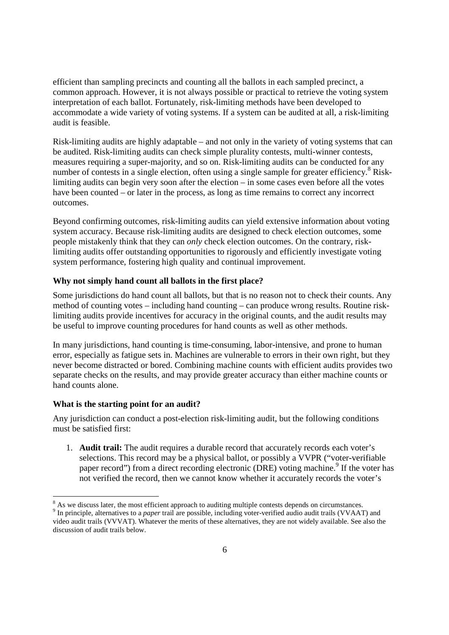efficient than sampling precincts and counting all the ballots in each sampled precinct, a common approach. However, it is not always possible or practical to retrieve the voting system interpretation of each ballot. Fortunately, risk-limiting methods have been developed to accommodate a wide variety of voting systems. If a system can be audited at all, a risk-limiting audit is feasible.

Risk-limiting audits are highly adaptable – and not only in the variety of voting systems that can be audited. Risk-limiting audits can check simple plurality contests, multi-winner contests, measures requiring a super-majority, and so on. Risk-limiting audits can be conducted for any number of contests in a single election, often using a single sample for greater efficiency.<sup>8</sup> Risklimiting audits can begin very soon after the election – in some cases even before all the votes have been counted – or later in the process, as long as time remains to correct any incorrect outcomes.

Beyond confirming outcomes, risk-limiting audits can yield extensive information about voting system accuracy. Because risk-limiting audits are designed to check election outcomes, some people mistakenly think that they can *only* check election outcomes. On the contrary, risklimiting audits offer outstanding opportunities to rigorously and efficiently investigate voting system performance, fostering high quality and continual improvement.

## **Why not simply hand count all ballots in the first place?**

Some jurisdictions do hand count all ballots, but that is no reason not to check their counts. Any method of counting votes – including hand counting – can produce wrong results. Routine risklimiting audits provide incentives for accuracy in the original counts, and the audit results may be useful to improve counting procedures for hand counts as well as other methods.

In many jurisdictions, hand counting is time-consuming, labor-intensive, and prone to human error, especially as fatigue sets in. Machines are vulnerable to errors in their own right, but they never become distracted or bored. Combining machine counts with efficient audits provides two separate checks on the results, and may provide greater accuracy than either machine counts or hand counts alone.

#### **What is the starting point for an audit?**

-

Any jurisdiction can conduct a post-election risk-limiting audit, but the following conditions must be satisfied first:

1. **Audit trail:** The audit requires a durable record that accurately records each voter's selections. This record may be a physical ballot, or possibly a VVPR ("voter-verifiable paper record") from a direct recording electronic (DRE) voting machine.<sup>9</sup> If the voter has not verified the record, then we cannot know whether it accurately records the voter's

<sup>&</sup>lt;sup>8</sup> As we discuss later, the most efficient approach to auditing multiple contests depends on circumstances.

<sup>&</sup>lt;sup>9</sup> In principle, alternatives to a *paper* trail are possible, including voter-verified audio audit trails (VVAAT) and video audit trails (VVVAT). Whatever the merits of these alternatives, they are not widely available. See also the discussion of audit trails below.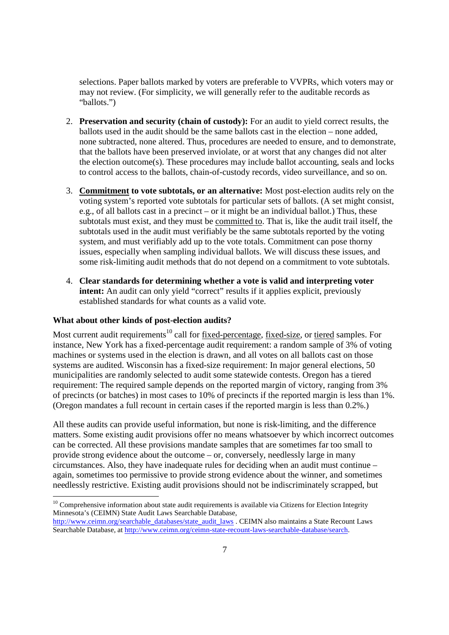selections. Paper ballots marked by voters are preferable to VVPRs, which voters may or may not review. (For simplicity, we will generally refer to the auditable records as "ballots.")

- 2. **Preservation and security (chain of custody):** For an audit to yield correct results, the ballots used in the audit should be the same ballots cast in the election – none added, none subtracted, none altered. Thus, procedures are needed to ensure, and to demonstrate, that the ballots have been preserved inviolate, or at worst that any changes did not alter the election outcome(s). These procedures may include ballot accounting, seals and locks to control access to the ballots, chain-of-custody records, video surveillance, and so on.
- 3. **Commitment to vote subtotals, or an alternative:** Most post-election audits rely on the voting system's reported vote subtotals for particular sets of ballots. (A set might consist, e.g., of all ballots cast in a precinct – or it might be an individual ballot.) Thus, these subtotals must exist, and they must be committed to. That is, like the audit trail itself, the subtotals used in the audit must verifiably be the same subtotals reported by the voting system, and must verifiably add up to the vote totals. Commitment can pose thorny issues, especially when sampling individual ballots. We will discuss these issues, and some risk-limiting audit methods that do not depend on a commitment to vote subtotals.
- 4. **Clear standards for determining whether a vote is valid and interpreting voter**  intent: An audit can only yield "correct" results if it applies explicit, previously established standards for what counts as a valid vote.

### **What about other kinds of post-election audits?**

-

Most current audit requirements<sup>10</sup> call for fixed-percentage, fixed-size, or tiered samples. For instance, New York has a fixed-percentage audit requirement: a random sample of 3% of voting machines or systems used in the election is drawn, and all votes on all ballots cast on those systems are audited. Wisconsin has a fixed-size requirement: In major general elections, 50 municipalities are randomly selected to audit some statewide contests. Oregon has a tiered requirement: The required sample depends on the reported margin of victory, ranging from 3% of precincts (or batches) in most cases to 10% of precincts if the reported margin is less than 1%. (Oregon mandates a full recount in certain cases if the reported margin is less than 0.2%.)

All these audits can provide useful information, but none is risk-limiting, and the difference matters. Some existing audit provisions offer no means whatsoever by which incorrect outcomes can be corrected. All these provisions mandate samples that are sometimes far too small to provide strong evidence about the outcome – or, conversely, needlessly large in many circumstances. Also, they have inadequate rules for deciding when an audit must continue – again, sometimes too permissive to provide strong evidence about the winner, and sometimes needlessly restrictive. Existing audit provisions should not be indiscriminately scrapped, but

 $10$  Comprehensive information about state audit requirements is available via Citizens for Election Integrity Minnesota's (CEIMN) State Audit Laws Searchable Database,

http://www.ceimn.org/searchable\_databases/state\_audit\_laws . CEIMN also maintains a State Recount Laws Searchable Database, at http://www.ceimn.org/ceimn-state-recount-laws-searchable-database/search.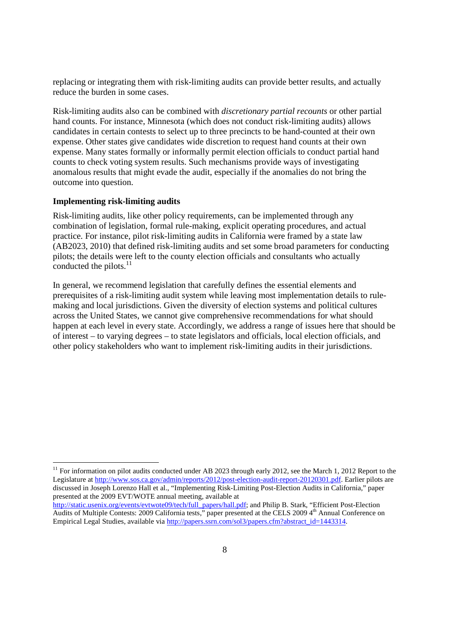replacing or integrating them with risk-limiting audits can provide better results, and actually reduce the burden in some cases.

Risk-limiting audits also can be combined with *discretionary partial recounts* or other partial hand counts. For instance, Minnesota (which does not conduct risk-limiting audits) allows candidates in certain contests to select up to three precincts to be hand-counted at their own expense. Other states give candidates wide discretion to request hand counts at their own expense. Many states formally or informally permit election officials to conduct partial hand counts to check voting system results. Such mechanisms provide ways of investigating anomalous results that might evade the audit, especially if the anomalies do not bring the outcome into question.

#### **Implementing risk-limiting audits**

-

Risk-limiting audits, like other policy requirements, can be implemented through any combination of legislation, formal rule-making, explicit operating procedures, and actual practice. For instance, pilot risk-limiting audits in California were framed by a state law (AB2023, 2010) that defined risk-limiting audits and set some broad parameters for conducting pilots; the details were left to the county election officials and consultants who actually conducted the pilots.<sup>11</sup>

In general, we recommend legislation that carefully defines the essential elements and prerequisites of a risk-limiting audit system while leaving most implementation details to rulemaking and local jurisdictions. Given the diversity of election systems and political cultures across the United States, we cannot give comprehensive recommendations for what should happen at each level in every state. Accordingly, we address a range of issues here that should be of interest – to varying degrees – to state legislators and officials, local election officials, and other policy stakeholders who want to implement risk-limiting audits in their jurisdictions.

<sup>&</sup>lt;sup>11</sup> For information on pilot audits conducted under AB 2023 through early 2012, see the March 1, 2012 Report to the Legislature at http://www.sos.ca.gov/admin/reports/2012/post-election-audit-report-20120301.pdf. Earlier pilots are discussed in Joseph Lorenzo Hall et al., "Implementing Risk-Limiting Post-Election Audits in California," paper presented at the 2009 EVT/WOTE annual meeting, available at

http://static.usenix.org/events/evtwote09/tech/full\_papers/hall.pdf; and Philip B. Stark, "Efficient Post-Election Audits of Multiple Contests: 2009 California tests," paper presented at the CELS 2009 4<sup>th</sup> Annual Conference on Empirical Legal Studies, available via http://papers.ssrn.com/sol3/papers.cfm?abstract\_id=1443314.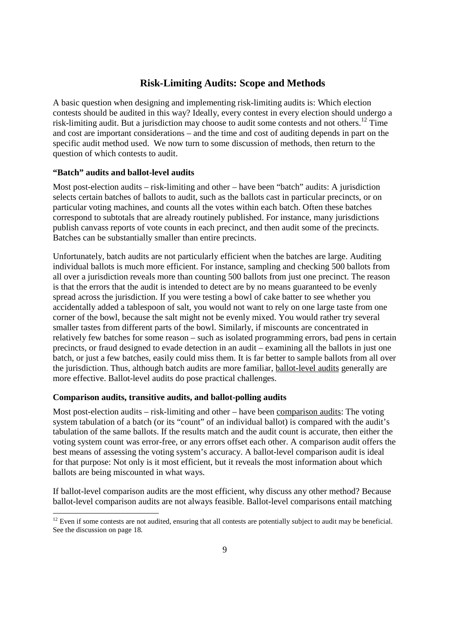# **Risk-Limiting Audits: Scope and Methods**

A basic question when designing and implementing risk-limiting audits is: Which election contests should be audited in this way? Ideally, every contest in every election should undergo a risk-limiting audit. But a jurisdiction may choose to audit some contests and not others.<sup>12</sup> Time and cost are important considerations – and the time and cost of auditing depends in part on the specific audit method used. We now turn to some discussion of methods, then return to the question of which contests to audit.

## **"Batch" audits and ballot-level audits**

-

Most post-election audits – risk-limiting and other – have been "batch" audits: A jurisdiction selects certain batches of ballots to audit, such as the ballots cast in particular precincts, or on particular voting machines, and counts all the votes within each batch. Often these batches correspond to subtotals that are already routinely published. For instance, many jurisdictions publish canvass reports of vote counts in each precinct, and then audit some of the precincts. Batches can be substantially smaller than entire precincts.

Unfortunately, batch audits are not particularly efficient when the batches are large. Auditing individual ballots is much more efficient. For instance, sampling and checking 500 ballots from all over a jurisdiction reveals more than counting 500 ballots from just one precinct. The reason is that the errors that the audit is intended to detect are by no means guaranteed to be evenly spread across the jurisdiction. If you were testing a bowl of cake batter to see whether you accidentally added a tablespoon of salt, you would not want to rely on one large taste from one corner of the bowl, because the salt might not be evenly mixed. You would rather try several smaller tastes from different parts of the bowl. Similarly, if miscounts are concentrated in relatively few batches for some reason – such as isolated programming errors, bad pens in certain precincts, or fraud designed to evade detection in an audit – examining all the ballots in just one batch, or just a few batches, easily could miss them. It is far better to sample ballots from all over the jurisdiction. Thus, although batch audits are more familiar, ballot-level audits generally are more effective. Ballot-level audits do pose practical challenges.

#### **Comparison audits, transitive audits, and ballot-polling audits**

Most post-election audits – risk-limiting and other – have been comparison audits: The voting system tabulation of a batch (or its "count" of an individual ballot) is compared with the audit's tabulation of the same ballots. If the results match and the audit count is accurate, then either the voting system count was error-free, or any errors offset each other. A comparison audit offers the best means of assessing the voting system's accuracy. A ballot-level comparison audit is ideal for that purpose: Not only is it most efficient, but it reveals the most information about which ballots are being miscounted in what ways.

If ballot-level comparison audits are the most efficient, why discuss any other method? Because ballot-level comparison audits are not always feasible. Ballot-level comparisons entail matching

 $12$  Even if some contests are not audited, ensuring that all contests are potentially subject to audit may be beneficial. See the discussion on page 18.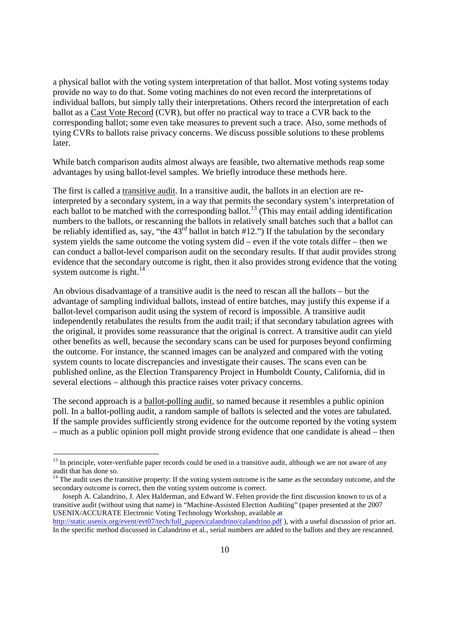a physical ballot with the voting system interpretation of that ballot. Most voting systems today provide no way to do that. Some voting machines do not even record the interpretations of individual ballots, but simply tally their interpretations. Others record the interpretation of each ballot as a Cast Vote Record (CVR), but offer no practical way to trace a CVR back to the corresponding ballot; some even take measures to prevent such a trace. Also, some methods of tying CVRs to ballots raise privacy concerns. We discuss possible solutions to these problems later.

While batch comparison audits almost always are feasible, two alternative methods reap some advantages by using ballot-level samples. We briefly introduce these methods here.

The first is called a transitive audit. In a transitive audit, the ballots in an election are reinterpreted by a secondary system, in a way that permits the secondary system's interpretation of each ballot to be matched with the corresponding ballot.<sup>13</sup> (This may entail adding identification numbers to the ballots, or rescanning the ballots in relatively small batches such that a ballot can be reliably identified as, say, "the  $43^{\text{rd}}$  ballot in batch #12.") If the tabulation by the secondary system yields the same outcome the voting system did – even if the vote totals differ – then we can conduct a ballot-level comparison audit on the secondary results. If that audit provides strong evidence that the secondary outcome is right, then it also provides strong evidence that the voting system outcome is right. $14$ 

An obvious disadvantage of a transitive audit is the need to rescan all the ballots – but the advantage of sampling individual ballots, instead of entire batches, may justify this expense if a ballot-level comparison audit using the system of record is impossible. A transitive audit independently retabulates the results from the audit trail; if that secondary tabulation agrees with the original, it provides some reassurance that the original is correct. A transitive audit can yield other benefits as well, because the secondary scans can be used for purposes beyond confirming the outcome. For instance, the scanned images can be analyzed and compared with the voting system counts to locate discrepancies and investigate their causes. The scans even can be published online, as the Election Transparency Project in Humboldt County, California, did in several elections – although this practice raises voter privacy concerns.

The second approach is a ballot-polling audit, so named because it resembles a public opinion poll. In a ballot-polling audit, a random sample of ballots is selected and the votes are tabulated. If the sample provides sufficiently strong evidence for the outcome reported by the voting system – much as a public opinion poll might provide strong evidence that one candidate is ahead – then

<sup>&</sup>lt;sup>13</sup> In principle, voter-verifiable paper records could be used in a transitive audit, although we are not aware of any audit that has done so.

 $14$  The audit uses the transitive property: If the voting system outcome is the same as the secondary outcome, and the secondary outcome is correct, then the voting system outcome is correct.

Joseph A. Calandrino, J. Alex Halderman, and Edward W. Felten provide the first discussion known to us of a transitive audit (without using that name) in "Machine-Assisted Election Auditing" (paper presented at the 2007 USENIX/ACCURATE Electronic Voting Technology Workshop, available at

http://static.usenix.org/event/evt07/tech/full\_papers/calandrino/calandrino.pdf ), with a useful discussion of prior art. In the specific method discussed in Calandrino et al., serial numbers are added to the ballots and they are rescanned.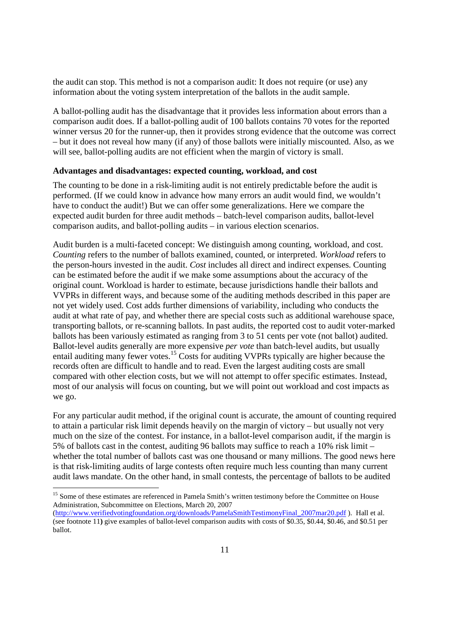the audit can stop. This method is not a comparison audit: It does not require (or use) any information about the voting system interpretation of the ballots in the audit sample.

A ballot-polling audit has the disadvantage that it provides less information about errors than a comparison audit does. If a ballot-polling audit of 100 ballots contains 70 votes for the reported winner versus 20 for the runner-up, then it provides strong evidence that the outcome was correct – but it does not reveal how many (if any) of those ballots were initially miscounted. Also, as we will see, ballot-polling audits are not efficient when the margin of victory is small.

#### **Advantages and disadvantages: expected counting, workload, and cost**

The counting to be done in a risk-limiting audit is not entirely predictable before the audit is performed. (If we could know in advance how many errors an audit would find, we wouldn't have to conduct the audit!) But we can offer some generalizations. Here we compare the expected audit burden for three audit methods – batch-level comparison audits, ballot-level comparison audits, and ballot-polling audits – in various election scenarios.

Audit burden is a multi-faceted concept: We distinguish among counting, workload, and cost. *Counting* refers to the number of ballots examined, counted, or interpreted. *Workload* refers to the person-hours invested in the audit. *Cost* includes all direct and indirect expenses. Counting can be estimated before the audit if we make some assumptions about the accuracy of the original count. Workload is harder to estimate, because jurisdictions handle their ballots and VVPRs in different ways, and because some of the auditing methods described in this paper are not yet widely used. Cost adds further dimensions of variability, including who conducts the audit at what rate of pay, and whether there are special costs such as additional warehouse space, transporting ballots, or re-scanning ballots. In past audits, the reported cost to audit voter-marked ballots has been variously estimated as ranging from 3 to 51 cents per vote (not ballot) audited. Ballot-level audits generally are more expensive *per vote* than batch-level audits, but usually entail auditing many fewer votes.<sup>15</sup> Costs for auditing VVPRs typically are higher because the records often are difficult to handle and to read. Even the largest auditing costs are small compared with other election costs, but we will not attempt to offer specific estimates. Instead, most of our analysis will focus on counting, but we will point out workload and cost impacts as we go.

For any particular audit method, if the original count is accurate, the amount of counting required to attain a particular risk limit depends heavily on the margin of victory – but usually not very much on the size of the contest. For instance, in a ballot-level comparison audit, if the margin is 5% of ballots cast in the contest, auditing 96 ballots may suffice to reach a 10% risk limit – whether the total number of ballots cast was one thousand or many millions. The good news here is that risk-limiting audits of large contests often require much less counting than many current audit laws mandate. On the other hand, in small contests, the percentage of ballots to be audited

<sup>&</sup>lt;sup>15</sup> Some of these estimates are referenced in Pamela Smith's written testimony before the Committee on House Administration, Subcommittee on Elections, March 20, 2007

<sup>(</sup>http://www.verifiedvotingfoundation.org/downloads/PamelaSmithTestimonyFinal\_2007mar20.pdf ). Hall et al. (see footnote 11**)** give examples of ballot-level comparison audits with costs of \$0.35, \$0.44, \$0.46, and \$0.51 per ballot.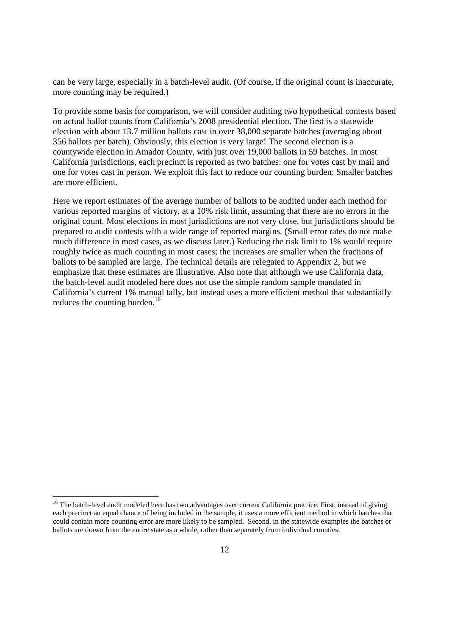can be very large, especially in a batch-level audit. (Of course, if the original count is inaccurate, more counting may be required.)

To provide some basis for comparison, we will consider auditing two hypothetical contests based on actual ballot counts from California's 2008 presidential election. The first is a statewide election with about 13.7 million ballots cast in over 38,000 separate batches (averaging about 356 ballots per batch). Obviously, this election is very large! The second election is a countywide election in Amador County, with just over 19,000 ballots in 59 batches. In most California jurisdictions, each precinct is reported as two batches: one for votes cast by mail and one for votes cast in person. We exploit this fact to reduce our counting burden: Smaller batches are more efficient.

Here we report estimates of the average number of ballots to be audited under each method for various reported margins of victory, at a 10% risk limit, assuming that there are no errors in the original count. Most elections in most jurisdictions are not very close, but jurisdictions should be prepared to audit contests with a wide range of reported margins. (Small error rates do not make much difference in most cases, as we discuss later.) Reducing the risk limit to 1% would require roughly twice as much counting in most cases; the increases are smaller when the fractions of ballots to be sampled are large. The technical details are relegated to Appendix 2, but we emphasize that these estimates are illustrative. Also note that although we use California data, the batch-level audit modeled here does not use the simple random sample mandated in California's current 1% manual tally, but instead uses a more efficient method that substantially reduces the counting burden. $^{16}$ 

<sup>&</sup>lt;sup>16</sup> The batch-level audit modeled here has two advantages over current California practice. First, instead of giving each precinct an equal chance of being included in the sample, it uses a more efficient method in which batches that could contain more counting error are more likely to be sampled. Second, in the statewide examples the batches or ballots are drawn from the entire state as a whole, rather than separately from individual counties.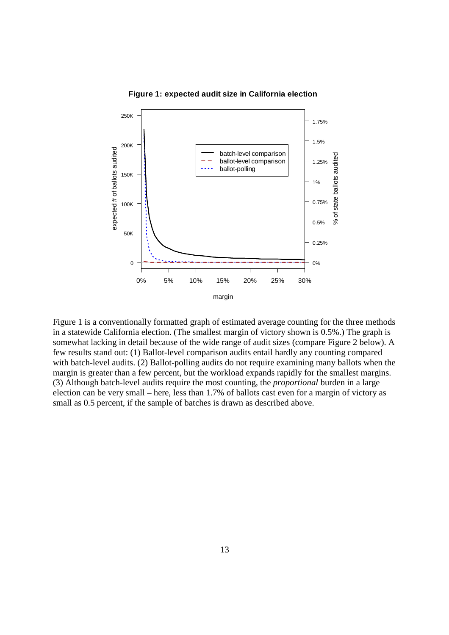



Figure 1 is a conventionally formatted graph of estimated average counting for the three methods in a statewide California election. (The smallest margin of victory shown is 0.5%.) The graph is somewhat lacking in detail because of the wide range of audit sizes (compare Figure 2 below). A few results stand out: (1) Ballot-level comparison audits entail hardly any counting compared with batch-level audits. (2) Ballot-polling audits do not require examining many ballots when the margin is greater than a few percent, but the workload expands rapidly for the smallest margins. (3) Although batch-level audits require the most counting, the *proportional* burden in a large election can be very small – here, less than 1.7% of ballots cast even for a margin of victory as small as 0.5 percent, if the sample of batches is drawn as described above.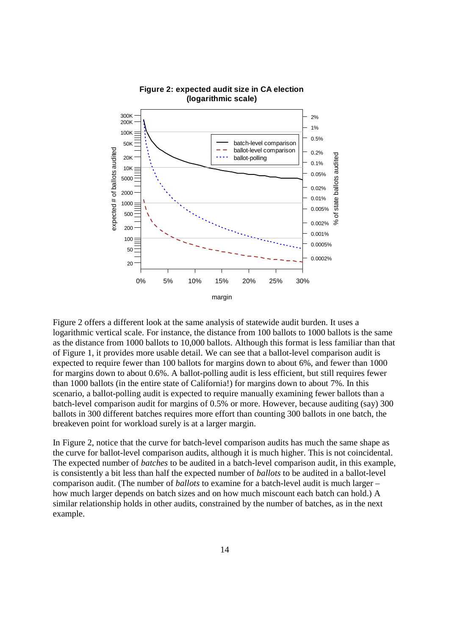

**Figure 2: expected audit size in CA election (logarithmic scale)**

Figure 2 offers a different look at the same analysis of statewide audit burden. It uses a logarithmic vertical scale. For instance, the distance from 100 ballots to 1000 ballots is the same as the distance from 1000 ballots to 10,000 ballots. Although this format is less familiar than that of Figure 1, it provides more usable detail. We can see that a ballot-level comparison audit is expected to require fewer than 100 ballots for margins down to about 6%, and fewer than 1000 for margins down to about 0.6%. A ballot-polling audit is less efficient, but still requires fewer than 1000 ballots (in the entire state of California!) for margins down to about 7%. In this scenario, a ballot-polling audit is expected to require manually examining fewer ballots than a batch-level comparison audit for margins of 0.5% or more. However, because auditing (say) 300 ballots in 300 different batches requires more effort than counting 300 ballots in one batch, the breakeven point for workload surely is at a larger margin.

In Figure 2, notice that the curve for batch-level comparison audits has much the same shape as the curve for ballot-level comparison audits, although it is much higher. This is not coincidental. The expected number of *batches* to be audited in a batch-level comparison audit, in this example, is consistently a bit less than half the expected number of *ballots* to be audited in a ballot-level comparison audit. (The number of *ballots* to examine for a batch-level audit is much larger – how much larger depends on batch sizes and on how much miscount each batch can hold.) A similar relationship holds in other audits, constrained by the number of batches, as in the next example.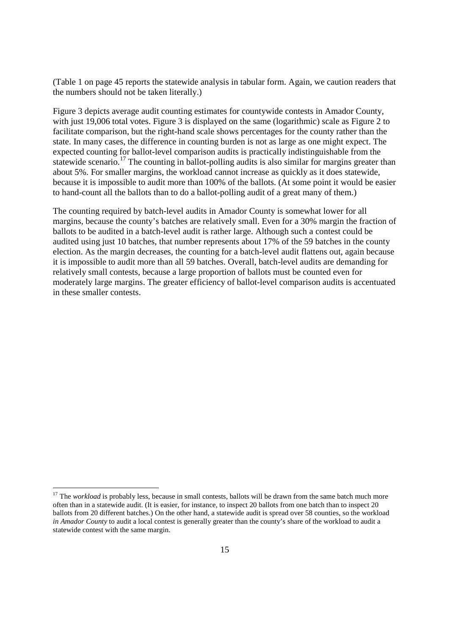(Table 1 on page 45 reports the statewide analysis in tabular form. Again, we caution readers that the numbers should not be taken literally.)

Figure 3 depicts average audit counting estimates for countywide contests in Amador County, with just 19,006 total votes. Figure 3 is displayed on the same (logarithmic) scale as Figure 2 to facilitate comparison, but the right-hand scale shows percentages for the county rather than the state. In many cases, the difference in counting burden is not as large as one might expect. The expected counting for ballot-level comparison audits is practically indistinguishable from the statewide scenario.<sup>17</sup> The counting in ballot-polling audits is also similar for margins greater than about 5%. For smaller margins, the workload cannot increase as quickly as it does statewide, because it is impossible to audit more than 100% of the ballots. (At some point it would be easier to hand-count all the ballots than to do a ballot-polling audit of a great many of them.)

The counting required by batch-level audits in Amador County is somewhat lower for all margins, because the county's batches are relatively small. Even for a 30% margin the fraction of ballots to be audited in a batch-level audit is rather large. Although such a contest could be audited using just 10 batches, that number represents about 17% of the 59 batches in the county election. As the margin decreases, the counting for a batch-level audit flattens out, again because it is impossible to audit more than all 59 batches. Overall, batch-level audits are demanding for relatively small contests, because a large proportion of ballots must be counted even for moderately large margins. The greater efficiency of ballot-level comparison audits is accentuated in these smaller contests.

<sup>&</sup>lt;sup>17</sup> The *workload* is probably less, because in small contests, ballots will be drawn from the same batch much more often than in a statewide audit. (It is easier, for instance, to inspect 20 ballots from one batch than to inspect 20 ballots from 20 different batches.) On the other hand, a statewide audit is spread over 58 counties, so the workload *in Amador County* to audit a local contest is generally greater than the county's share of the workload to audit a statewide contest with the same margin.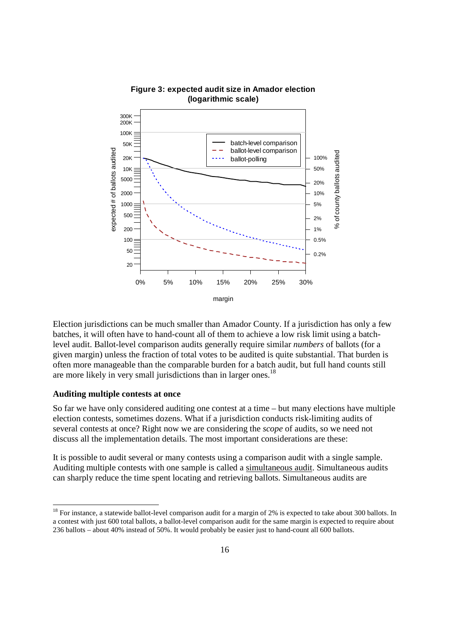

#### **Figure 3: expected audit size in Amador election (logarithmic scale)**

Election jurisdictions can be much smaller than Amador County. If a jurisdiction has only a few batches, it will often have to hand-count all of them to achieve a low risk limit using a batchlevel audit. Ballot-level comparison audits generally require similar *numbers* of ballots (for a given margin) unless the fraction of total votes to be audited is quite substantial. That burden is often more manageable than the comparable burden for a batch audit, but full hand counts still are more likely in very small jurisdictions than in larger ones.<sup>18</sup>

#### **Auditing multiple contests at once**

-

So far we have only considered auditing one contest at a time – but many elections have multiple election contests, sometimes dozens. What if a jurisdiction conducts risk-limiting audits of several contests at once? Right now we are considering the *scope* of audits, so we need not discuss all the implementation details. The most important considerations are these:

It is possible to audit several or many contests using a comparison audit with a single sample. Auditing multiple contests with one sample is called a simultaneous audit. Simultaneous audits can sharply reduce the time spent locating and retrieving ballots. Simultaneous audits are

 $18$  For instance, a statewide ballot-level comparison audit for a margin of 2% is expected to take about 300 ballots. In a contest with just 600 total ballots, a ballot-level comparison audit for the same margin is expected to require about 236 ballots – about 40% instead of 50%. It would probably be easier just to hand-count all 600 ballots.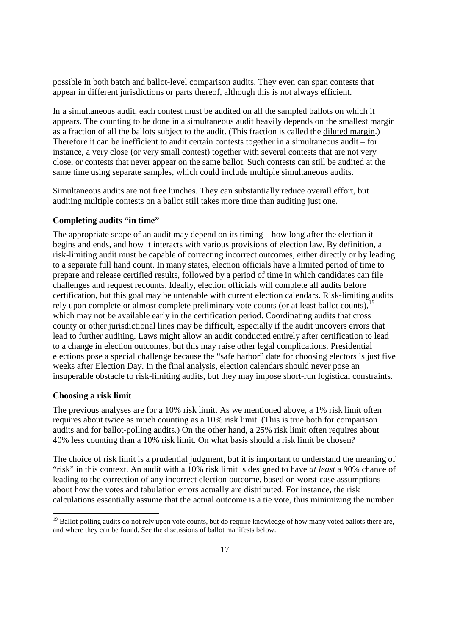possible in both batch and ballot-level comparison audits. They even can span contests that appear in different jurisdictions or parts thereof, although this is not always efficient.

In a simultaneous audit, each contest must be audited on all the sampled ballots on which it appears. The counting to be done in a simultaneous audit heavily depends on the smallest margin as a fraction of all the ballots subject to the audit. (This fraction is called the diluted margin.) Therefore it can be inefficient to audit certain contests together in a simultaneous audit – for instance, a very close (or very small contest) together with several contests that are not very close, or contests that never appear on the same ballot. Such contests can still be audited at the same time using separate samples, which could include multiple simultaneous audits.

Simultaneous audits are not free lunches. They can substantially reduce overall effort, but auditing multiple contests on a ballot still takes more time than auditing just one.

#### **Completing audits "in time"**

The appropriate scope of an audit may depend on its timing – how long after the election it begins and ends, and how it interacts with various provisions of election law. By definition, a risk-limiting audit must be capable of correcting incorrect outcomes, either directly or by leading to a separate full hand count. In many states, election officials have a limited period of time to prepare and release certified results, followed by a period of time in which candidates can file challenges and request recounts. Ideally, election officials will complete all audits before certification, but this goal may be untenable with current election calendars. Risk-limiting audits rely upon complete or almost complete preliminary vote counts (or at least ballot counts), $\frac{1}{2}$ which may not be available early in the certification period. Coordinating audits that cross county or other jurisdictional lines may be difficult, especially if the audit uncovers errors that lead to further auditing. Laws might allow an audit conducted entirely after certification to lead to a change in election outcomes, but this may raise other legal complications. Presidential elections pose a special challenge because the "safe harbor" date for choosing electors is just five weeks after Election Day. In the final analysis, election calendars should never pose an insuperable obstacle to risk-limiting audits, but they may impose short-run logistical constraints.

#### **Choosing a risk limit**

-

The previous analyses are for a 10% risk limit. As we mentioned above, a 1% risk limit often requires about twice as much counting as a 10% risk limit. (This is true both for comparison audits and for ballot-polling audits.) On the other hand, a 25% risk limit often requires about 40% less counting than a 10% risk limit. On what basis should a risk limit be chosen?

The choice of risk limit is a prudential judgment, but it is important to understand the meaning of "risk" in this context. An audit with a 10% risk limit is designed to have *at least* a 90% chance of leading to the correction of any incorrect election outcome, based on worst-case assumptions about how the votes and tabulation errors actually are distributed. For instance, the risk calculations essentially assume that the actual outcome is a tie vote, thus minimizing the number

<sup>&</sup>lt;sup>19</sup> Ballot-polling audits do not rely upon vote counts, but do require knowledge of how many voted ballots there are, and where they can be found. See the discussions of ballot manifests below.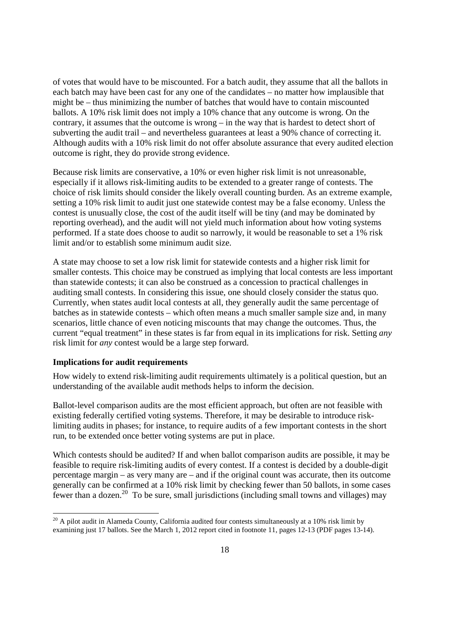of votes that would have to be miscounted. For a batch audit, they assume that all the ballots in each batch may have been cast for any one of the candidates – no matter how implausible that might be – thus minimizing the number of batches that would have to contain miscounted ballots. A 10% risk limit does not imply a 10% chance that any outcome is wrong. On the contrary, it assumes that the outcome is wrong  $-$  in the way that is hardest to detect short of subverting the audit trail – and nevertheless guarantees at least a 90% chance of correcting it. Although audits with a 10% risk limit do not offer absolute assurance that every audited election outcome is right, they do provide strong evidence.

Because risk limits are conservative, a 10% or even higher risk limit is not unreasonable, especially if it allows risk-limiting audits to be extended to a greater range of contests. The choice of risk limits should consider the likely overall counting burden. As an extreme example, setting a 10% risk limit to audit just one statewide contest may be a false economy. Unless the contest is unusually close, the cost of the audit itself will be tiny (and may be dominated by reporting overhead), and the audit will not yield much information about how voting systems performed. If a state does choose to audit so narrowly, it would be reasonable to set a 1% risk limit and/or to establish some minimum audit size.

A state may choose to set a low risk limit for statewide contests and a higher risk limit for smaller contests. This choice may be construed as implying that local contests are less important than statewide contests; it can also be construed as a concession to practical challenges in auditing small contests. In considering this issue, one should closely consider the status quo. Currently, when states audit local contests at all, they generally audit the same percentage of batches as in statewide contests – which often means a much smaller sample size and, in many scenarios, little chance of even noticing miscounts that may change the outcomes. Thus, the current "equal treatment" in these states is far from equal in its implications for risk. Setting *any* risk limit for *any* contest would be a large step forward.

#### **Implications for audit requirements**

-

How widely to extend risk-limiting audit requirements ultimately is a political question, but an understanding of the available audit methods helps to inform the decision.

Ballot-level comparison audits are the most efficient approach, but often are not feasible with existing federally certified voting systems. Therefore, it may be desirable to introduce risklimiting audits in phases; for instance, to require audits of a few important contests in the short run, to be extended once better voting systems are put in place.

Which contests should be audited? If and when ballot comparison audits are possible, it may be feasible to require risk-limiting audits of every contest. If a contest is decided by a double-digit percentage margin – as very many are – and if the original count was accurate, then its outcome generally can be confirmed at a 10% risk limit by checking fewer than 50 ballots, in some cases fewer than a dozen.<sup>20</sup> To be sure, small jurisdictions (including small towns and villages) may

 $20$  A pilot audit in Alameda County, California audited four contests simultaneously at a 10% risk limit by examining just 17 ballots. See the March 1, 2012 report cited in footnote 11, pages 12-13 (PDF pages 13-14).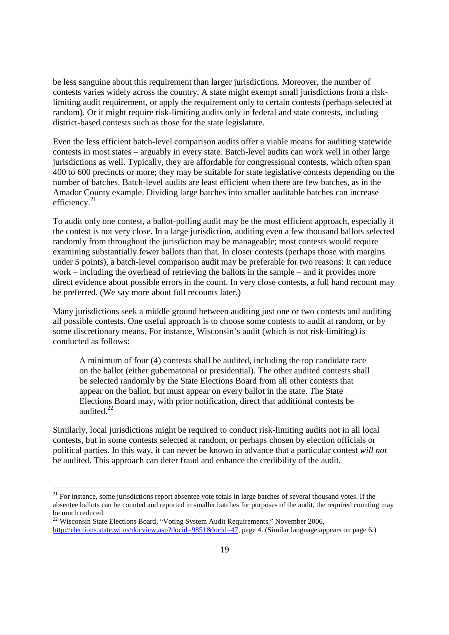be less sanguine about this requirement than larger jurisdictions. Moreover, the number of contests varies widely across the country. A state might exempt small jurisdictions from a risklimiting audit requirement, or apply the requirement only to certain contests (perhaps selected at random). Or it might require risk-limiting audits only in federal and state contests, including district-based contests such as those for the state legislature.

Even the less efficient batch-level comparison audits offer a viable means for auditing statewide contests in most states – arguably in every state. Batch-level audits can work well in other large jurisdictions as well. Typically, they are affordable for congressional contests, which often span 400 to 600 precincts or more; they may be suitable for state legislative contests depending on the number of batches. Batch-level audits are least efficient when there are few batches, as in the Amador County example. Dividing large batches into smaller auditable batches can increase efficiency. $21$ 

To audit only one contest, a ballot-polling audit may be the most efficient approach, especially if the contest is not very close. In a large jurisdiction, auditing even a few thousand ballots selected randomly from throughout the jurisdiction may be manageable; most contests would require examining substantially fewer ballots than that. In closer contests (perhaps those with margins under 5 points), a batch-level comparison audit may be preferable for two reasons: It can reduce work – including the overhead of retrieving the ballots in the sample – and it provides more direct evidence about possible errors in the count. In very close contests, a full hand recount may be preferred. (We say more about full recounts later.)

Many jurisdictions seek a middle ground between auditing just one or two contests and auditing all possible contests. One useful approach is to choose some contests to audit at random, or by some discretionary means. For instance, Wisconsin's audit (which is not risk-limiting) is conducted as follows:

A minimum of four (4) contests shall be audited, including the top candidate race on the ballot (either gubernatorial or presidential). The other audited contests shall be selected randomly by the State Elections Board from all other contests that appear on the ballot, but must appear on every ballot in the state. The State Elections Board may, with prior notification, direct that additional contests be audited $22$ 

Similarly, local jurisdictions might be required to conduct risk-limiting audits not in all local contests, but in some contests selected at random, or perhaps chosen by election officials or political parties. In this way, it can never be known in advance that a particular contest *will not* be audited. This approach can deter fraud and enhance the credibility of the audit.

<sup>&</sup>lt;sup>21</sup> For instance, some jurisdictions report absentee vote totals in large batches of several thousand votes. If the absentee ballots can be counted and reported in smaller batches for purposes of the audit, the required counting may be much reduced.

<sup>&</sup>lt;sup>22</sup> Wisconsin State Elections Board, "Voting System Audit Requirements," November 2006, http://elections.state.wi.us/docview.asp?docid=9851&locid=47, page 4. (Similar language appears on page 6.)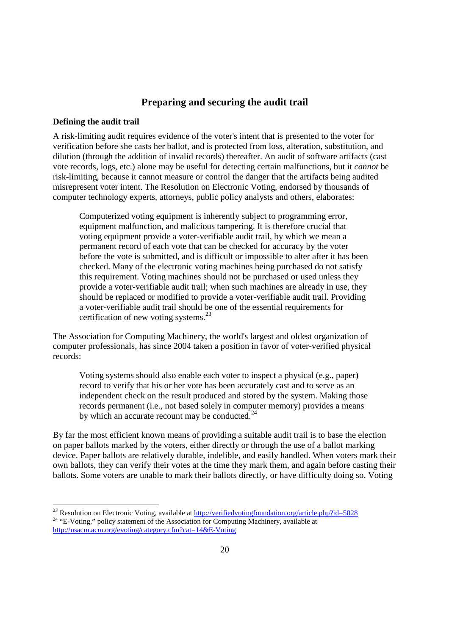# **Preparing and securing the audit trail**

#### **Defining the audit trail**

A risk-limiting audit requires evidence of the voter's intent that is presented to the voter for verification before she casts her ballot, and is protected from loss, alteration, substitution, and dilution (through the addition of invalid records) thereafter. An audit of software artifacts (cast vote records, logs, etc.) alone may be useful for detecting certain malfunctions, but it *cannot* be risk-limiting, because it cannot measure or control the danger that the artifacts being audited misrepresent voter intent. The Resolution on Electronic Voting, endorsed by thousands of computer technology experts, attorneys, public policy analysts and others, elaborates:

Computerized voting equipment is inherently subject to programming error, equipment malfunction, and malicious tampering. It is therefore crucial that voting equipment provide a voter-verifiable audit trail, by which we mean a permanent record of each vote that can be checked for accuracy by the voter before the vote is submitted, and is difficult or impossible to alter after it has been checked. Many of the electronic voting machines being purchased do not satisfy this requirement. Voting machines should not be purchased or used unless they provide a voter-verifiable audit trail; when such machines are already in use, they should be replaced or modified to provide a voter-verifiable audit trail. Providing a voter-verifiable audit trail should be one of the essential requirements for certification of new voting systems.<sup>23</sup>

The Association for Computing Machinery, the world's largest and oldest organization of computer professionals, has since 2004 taken a position in favor of voter-verified physical records:

Voting systems should also enable each voter to inspect a physical (e.g., paper) record to verify that his or her vote has been accurately cast and to serve as an independent check on the result produced and stored by the system. Making those records permanent (i.e., not based solely in computer memory) provides a means by which an accurate recount may be conducted. $^{24}$ 

By far the most efficient known means of providing a suitable audit trail is to base the election on paper ballots marked by the voters, either directly or through the use of a ballot marking device. Paper ballots are relatively durable, indelible, and easily handled. When voters mark their own ballots, they can verify their votes at the time they mark them, and again before casting their ballots. Some voters are unable to mark their ballots directly, or have difficulty doing so. Voting

<sup>-</sup><sup>23</sup> Resolution on Electronic Voting, available at http://verifiedvotingfoundation.org/article.php?id=5028

<sup>&</sup>lt;sup>24</sup> "E-Voting," policy statement of the Association for Computing Machinery, available at http://usacm.acm.org/evoting/category.cfm?cat=14&E-Voting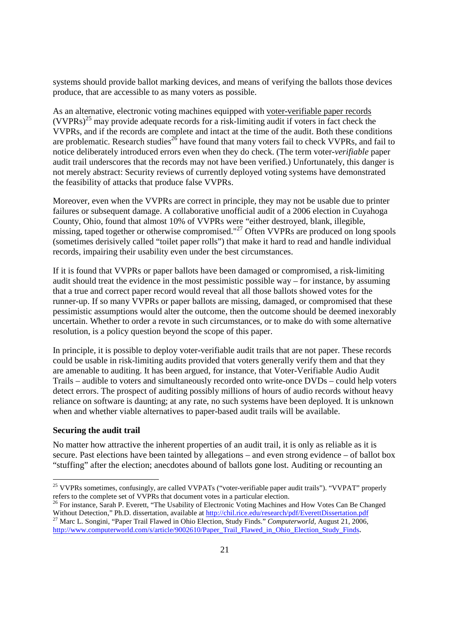systems should provide ballot marking devices, and means of verifying the ballots those devices produce, that are accessible to as many voters as possible.

As an alternative, electronic voting machines equipped with voter-verifiable paper records  $(VVPRs)^{25}$  may provide adequate records for a risk-limiting audit if voters in fact check the VVPRs, and if the records are complete and intact at the time of the audit. Both these conditions are problematic. Research studies<sup>26</sup> have found that many voters fail to check VVPRs, and fail to notice deliberately introduced errors even when they do check. (The term voter-*verifiable* paper audit trail underscores that the records may not have been verified.) Unfortunately, this danger is not merely abstract: Security reviews of currently deployed voting systems have demonstrated the feasibility of attacks that produce false VVPRs.

Moreover, even when the VVPRs are correct in principle, they may not be usable due to printer failures or subsequent damage. A collaborative unofficial audit of a 2006 election in Cuyahoga County, Ohio, found that almost 10% of VVPRs were "either destroyed, blank, illegible, missing, taped together or otherwise compromised."<sup>27</sup> Often VVPRs are produced on long spools (sometimes derisively called "toilet paper rolls") that make it hard to read and handle individual records, impairing their usability even under the best circumstances.

If it is found that VVPRs or paper ballots have been damaged or compromised, a risk-limiting audit should treat the evidence in the most pessimistic possible way – for instance, by assuming that a true and correct paper record would reveal that all those ballots showed votes for the runner-up. If so many VVPRs or paper ballots are missing, damaged, or compromised that these pessimistic assumptions would alter the outcome, then the outcome should be deemed inexorably uncertain. Whether to order a revote in such circumstances, or to make do with some alternative resolution, is a policy question beyond the scope of this paper.

In principle, it is possible to deploy voter-verifiable audit trails that are not paper. These records could be usable in risk-limiting audits provided that voters generally verify them and that they are amenable to auditing. It has been argued, for instance, that Voter-Verifiable Audio Audit Trails – audible to voters and simultaneously recorded onto write-once DVDs – could help voters detect errors. The prospect of auditing possibly millions of hours of audio records without heavy reliance on software is daunting; at any rate, no such systems have been deployed. It is unknown when and whether viable alternatives to paper-based audit trails will be available.

#### **Securing the audit trail**

<u>.</u>

No matter how attractive the inherent properties of an audit trail, it is only as reliable as it is secure. Past elections have been tainted by allegations – and even strong evidence – of ballot box "stuffing" after the election; anecdotes abound of ballots gone lost. Auditing or recounting an

<sup>&</sup>lt;sup>25</sup> VVPRs sometimes, confusingly, are called VVPATs ("voter-verifiable paper audit trails"). "VVPAT" properly refers to the complete set of VVPRs that document votes in a particular election.

<sup>&</sup>lt;sup>26</sup> For instance, Sarah P. Everett, "The Usability of Electronic Voting Machines and How Votes Can Be Changed Without Detection," Ph.D. dissertation, available at http://chil.rice.edu/research/pdf/EverettDissertation.pdf <sup>27</sup> Marc L. Songini, "Paper Trail Flawed in Ohio Election, Study Finds." *Computerworld,* August 21, 2006,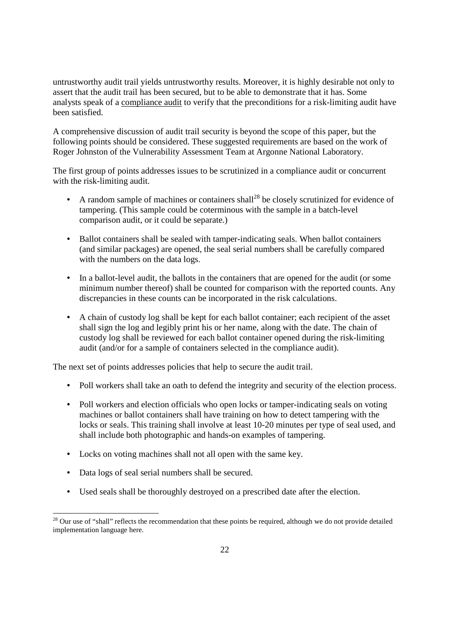untrustworthy audit trail yields untrustworthy results. Moreover, it is highly desirable not only to assert that the audit trail has been secured, but to be able to demonstrate that it has. Some analysts speak of a compliance audit to verify that the preconditions for a risk-limiting audit have been satisfied.

A comprehensive discussion of audit trail security is beyond the scope of this paper, but the following points should be considered. These suggested requirements are based on the work of Roger Johnston of the Vulnerability Assessment Team at Argonne National Laboratory.

The first group of points addresses issues to be scrutinized in a compliance audit or concurrent with the risk-limiting audit.

- A random sample of machines or containers shall<sup>28</sup> be closely scrutinized for evidence of tampering. (This sample could be coterminous with the sample in a batch-level comparison audit, or it could be separate.)
- Ballot containers shall be sealed with tamper-indicating seals. When ballot containers (and similar packages) are opened, the seal serial numbers shall be carefully compared with the numbers on the data logs.
- In a ballot-level audit, the ballots in the containers that are opened for the audit (or some minimum number thereof) shall be counted for comparison with the reported counts. Any discrepancies in these counts can be incorporated in the risk calculations.
- A chain of custody log shall be kept for each ballot container; each recipient of the asset shall sign the log and legibly print his or her name, along with the date. The chain of custody log shall be reviewed for each ballot container opened during the risk-limiting audit (and/or for a sample of containers selected in the compliance audit).

The next set of points addresses policies that help to secure the audit trail.

- Poll workers shall take an oath to defend the integrity and security of the election process.
- Poll workers and election officials who open locks or tamper-indicating seals on voting machines or ballot containers shall have training on how to detect tampering with the locks or seals. This training shall involve at least 10-20 minutes per type of seal used, and shall include both photographic and hands-on examples of tampering.
- Locks on voting machines shall not all open with the same key.
- Data logs of seal serial numbers shall be secured.

-

• Used seals shall be thoroughly destroyed on a prescribed date after the election.

 $28$  Our use of "shall" reflects the recommendation that these points be required, although we do not provide detailed implementation language here.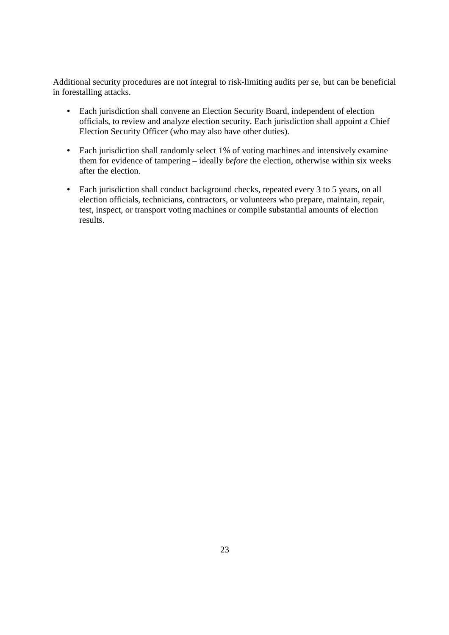Additional security procedures are not integral to risk-limiting audits per se, but can be beneficial in forestalling attacks.

- Each jurisdiction shall convene an Election Security Board, independent of election officials, to review and analyze election security. Each jurisdiction shall appoint a Chief Election Security Officer (who may also have other duties).
- Each jurisdiction shall randomly select 1% of voting machines and intensively examine them for evidence of tampering – ideally *before* the election, otherwise within six weeks after the election.
- Each jurisdiction shall conduct background checks, repeated every 3 to 5 years, on all election officials, technicians, contractors, or volunteers who prepare, maintain, repair, test, inspect, or transport voting machines or compile substantial amounts of election results.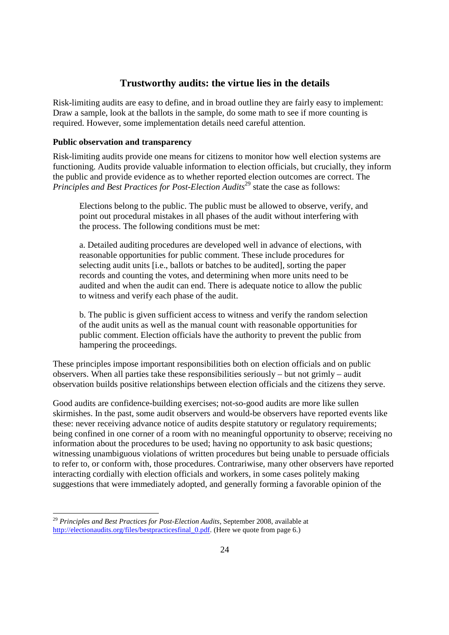# **Trustworthy audits: the virtue lies in the details**

Risk-limiting audits are easy to define, and in broad outline they are fairly easy to implement: Draw a sample, look at the ballots in the sample, do some math to see if more counting is required. However, some implementation details need careful attention.

#### **Public observation and transparency**

Risk-limiting audits provide one means for citizens to monitor how well election systems are functioning. Audits provide valuable information to election officials, but crucially, they inform the public and provide evidence as to whether reported election outcomes are correct. The *Principles and Best Practices for Post-Election Audits*<sup>29</sup> state the case as follows:

Elections belong to the public. The public must be allowed to observe, verify, and point out procedural mistakes in all phases of the audit without interfering with the process. The following conditions must be met:

a. Detailed auditing procedures are developed well in advance of elections, with reasonable opportunities for public comment. These include procedures for selecting audit units [i.e., ballots or batches to be audited], sorting the paper records and counting the votes, and determining when more units need to be audited and when the audit can end. There is adequate notice to allow the public to witness and verify each phase of the audit.

b. The public is given sufficient access to witness and verify the random selection of the audit units as well as the manual count with reasonable opportunities for public comment. Election officials have the authority to prevent the public from hampering the proceedings.

These principles impose important responsibilities both on election officials and on public observers. When all parties take these responsibilities seriously – but not grimly – audit observation builds positive relationships between election officials and the citizens they serve.

Good audits are confidence-building exercises; not-so-good audits are more like sullen skirmishes. In the past, some audit observers and would-be observers have reported events like these: never receiving advance notice of audits despite statutory or regulatory requirements; being confined in one corner of a room with no meaningful opportunity to observe; receiving no information about the procedures to be used; having no opportunity to ask basic questions; witnessing unambiguous violations of written procedures but being unable to persuade officials to refer to, or conform with, those procedures. Contrariwise, many other observers have reported interacting cordially with election officials and workers, in some cases politely making suggestions that were immediately adopted, and generally forming a favorable opinion of the

<sup>-</sup><sup>29</sup> *Principles and Best Practices for Post-Election Audits*, September 2008, available at http://electionaudits.org/files/bestpracticesfinal\_0.pdf. (Here we quote from page 6.)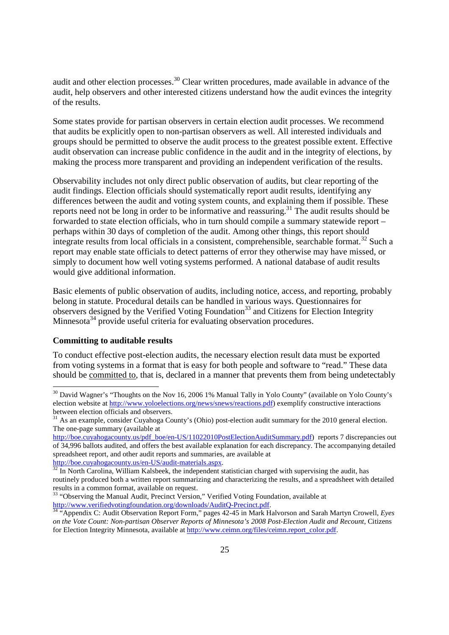audit and other election processes.<sup>30</sup> Clear written procedures, made available in advance of the audit, help observers and other interested citizens understand how the audit evinces the integrity of the results.

Some states provide for partisan observers in certain election audit processes. We recommend that audits be explicitly open to non-partisan observers as well. All interested individuals and groups should be permitted to observe the audit process to the greatest possible extent. Effective audit observation can increase public confidence in the audit and in the integrity of elections, by making the process more transparent and providing an independent verification of the results.

Observability includes not only direct public observation of audits, but clear reporting of the audit findings. Election officials should systematically report audit results, identifying any differences between the audit and voting system counts, and explaining them if possible. These reports need not be long in order to be informative and reassuring.<sup>31</sup> The audit results should be forwarded to state election officials, who in turn should compile a summary statewide report – perhaps within 30 days of completion of the audit. Among other things, this report should integrate results from local officials in a consistent, comprehensible, searchable format.<sup>32</sup> Such a report may enable state officials to detect patterns of error they otherwise may have missed, or simply to document how well voting systems performed. A national database of audit results would give additional information.

Basic elements of public observation of audits, including notice, access, and reporting, probably belong in statute. Procedural details can be handled in various ways. Questionnaires for observers designed by the Verified Voting Foundation<sup>33</sup> and Citizens for Election Integrity Minnesota<sup>34</sup> provide useful criteria for evaluating observation procedures.

#### **Committing to auditable results**

<u>.</u>

To conduct effective post-election audits, the necessary election result data must be exported from voting systems in a format that is easy for both people and software to "read." These data should be committed to, that is, declared in a manner that prevents them from being undetectably

http://boe.cuyahogacounty.us/en-US/audit-materials.aspx.

 $30$  David Wagner's "Thoughts on the Nov 16, 2006 1% Manual Tally in Yolo County" (available on Yolo County's election website at http://www.yoloelections.org/news/snews/reactions.pdf) exemplify constructive interactions between election officials and observers.

 $31$  As an example, consider Cuyahoga County's (Ohio) post-election audit summary for the 2010 general election. The one-page summary (available at

http://boe.cuyahogacounty.us/pdf\_boe/en-US/11022010PostElectionAuditSummary.pdf) reports 7 discrepancies out of 34,996 ballots audited, and offers the best available explanation for each discrepancy. The accompanying detailed spreadsheet report, and other audit reports and summaries, are available at

 $32$  In North Carolina, William Kalsbeek, the independent statistician charged with supervising the audit, has routinely produced both a written report summarizing and characterizing the results, and a spreadsheet with detailed results in a common format, available on request.

<sup>&</sup>lt;sup>33</sup> "Observing the Manual Audit, Precinct Version," Verified Voting Foundation, available at http://www.verifiedvotingfoundation.org/downloads/AuditQ-Precinct.pdf.

<sup>34</sup> "Appendix C: Audit Observation Report Form," pages 42-45 in Mark Halvorson and Sarah Martyn Crowell, *Eyes on the Vote Count: Non-partisan Observer Reports of Minnesota's 2008 Post-Election Audit and Recount*, Citizens for Election Integrity Minnesota, available at http://www.ceimn.org/files/ceimn.report\_color.pdf.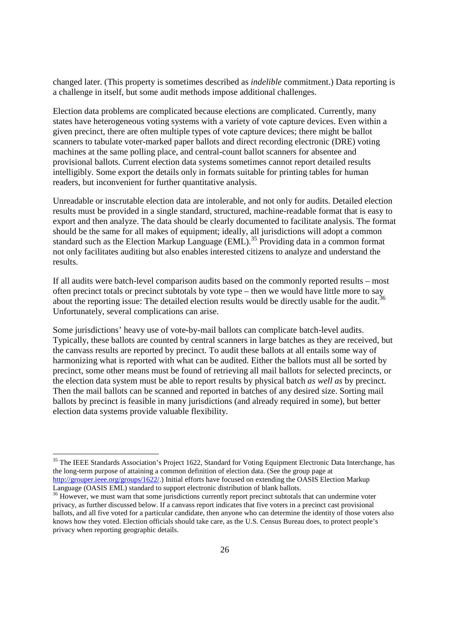changed later. (This property is sometimes described as *indelible* commitment.) Data reporting is a challenge in itself, but some audit methods impose additional challenges.

Election data problems are complicated because elections are complicated. Currently, many states have heterogeneous voting systems with a variety of vote capture devices. Even within a given precinct, there are often multiple types of vote capture devices; there might be ballot scanners to tabulate voter-marked paper ballots and direct recording electronic (DRE) voting machines at the same polling place, and central-count ballot scanners for absentee and provisional ballots. Current election data systems sometimes cannot report detailed results intelligibly. Some export the details only in formats suitable for printing tables for human readers, but inconvenient for further quantitative analysis.

Unreadable or inscrutable election data are intolerable, and not only for audits. Detailed election results must be provided in a single standard, structured, machine-readable format that is easy to export and then analyze. The data should be clearly documented to facilitate analysis. The format should be the same for all makes of equipment; ideally, all jurisdictions will adopt a common standard such as the Election Markup Language (EML).<sup>35</sup> Providing data in a common format not only facilitates auditing but also enables interested citizens to analyze and understand the results.

If all audits were batch-level comparison audits based on the commonly reported results – most often precinct totals or precinct subtotals by vote type – then we would have little more to say about the reporting issue: The detailed election results would be directly usable for the audit.<sup>3</sup> Unfortunately, several complications can arise.

Some jurisdictions' heavy use of vote-by-mail ballots can complicate batch-level audits. Typically, these ballots are counted by central scanners in large batches as they are received, but the canvass results are reported by precinct. To audit these ballots at all entails some way of harmonizing what is reported with what can be audited. Either the ballots must all be sorted by precinct, some other means must be found of retrieving all mail ballots for selected precincts, or the election data system must be able to report results by physical batch *as well as* by precinct. Then the mail ballots can be scanned and reported in batches of any desired size. Sorting mail ballots by precinct is feasible in many jurisdictions (and already required in some), but better election data systems provide valuable flexibility.

<sup>&</sup>lt;sup>35</sup> The IEEE Standards Association's Project 1622, Standard for Voting Equipment Electronic Data Interchange, has the long-term purpose of attaining a common definition of election data. (See the group page at http://grouper.ieee.org/groups/1622/.) Initial efforts have focused on extending the OASIS Election Markup Language (OASIS EML) standard to support electronic distribution of blank ballots.

<sup>&</sup>lt;sup>36</sup> However, we must warn that some jurisdictions currently report precinct subtotals that can undermine voter privacy, as further discussed below. If a canvass report indicates that five voters in a precinct cast provisional ballots, and all five voted for a particular candidate, then anyone who can determine the identity of those voters also knows how they voted. Election officials should take care, as the U.S. Census Bureau does, to protect people's privacy when reporting geographic details.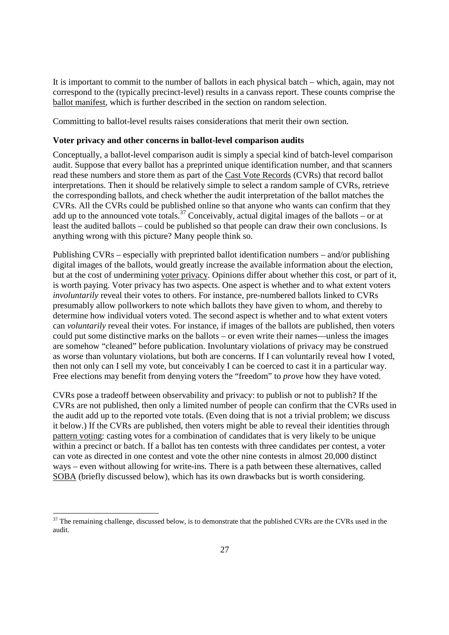It is important to commit to the number of ballots in each physical batch – which, again, may not correspond to the (typically precinct-level) results in a canvass report. These counts comprise the ballot manifest, which is further described in the section on random selection.

Committing to ballot-level results raises considerations that merit their own section.

#### **Voter privacy and other concerns in ballot-level comparison audits**

Conceptually, a ballot-level comparison audit is simply a special kind of batch-level comparison audit. Suppose that every ballot has a preprinted unique identification number, and that scanners read these numbers and store them as part of the Cast Vote Records (CVRs) that record ballot interpretations. Then it should be relatively simple to select a random sample of CVRs, retrieve the corresponding ballots, and check whether the audit interpretation of the ballot matches the CVRs. All the CVRs could be published online so that anyone who wants can confirm that they add up to the announced vote totals.<sup>37</sup> Conceivably, actual digital images of the ballots – or at least the audited ballots – could be published so that people can draw their own conclusions. Is anything wrong with this picture? Many people think so.

Publishing CVRs – especially with preprinted ballot identification numbers – and/or publishing digital images of the ballots, would greatly increase the available information about the election, but at the cost of undermining voter privacy. Opinions differ about whether this cost, or part of it, is worth paying. Voter privacy has two aspects. One aspect is whether and to what extent voters *involuntarily* reveal their votes to others. For instance, pre-numbered ballots linked to CVRs presumably allow pollworkers to note which ballots they have given to whom, and thereby to determine how individual voters voted. The second aspect is whether and to what extent voters can *voluntarily* reveal their votes. For instance, if images of the ballots are published, then voters could put some distinctive marks on the ballots – or even write their names—unless the images are somehow "cleaned" before publication. Involuntary violations of privacy may be construed as worse than voluntary violations, but both are concerns. If I can voluntarily reveal how I voted, then not only can I sell my vote, but conceivably I can be coerced to cast it in a particular way. Free elections may benefit from denying voters the "freedom" to *prove* how they have voted.

CVRs pose a tradeoff between observability and privacy: to publish or not to publish? If the CVRs are not published, then only a limited number of people can confirm that the CVRs used in the audit add up to the reported vote totals. (Even doing that is not a trivial problem; we discuss it below.) If the CVRs are published, then voters might be able to reveal their identities through pattern voting: casting votes for a combination of candidates that is very likely to be unique within a precinct or batch. If a ballot has ten contests with three candidates per contest, a voter can vote as directed in one contest and vote the other nine contests in almost 20,000 distinct ways – even without allowing for write-ins. There is a path between these alternatives, called SOBA (briefly discussed below), which has its own drawbacks but is worth considering.

 $37$  The remaining challenge, discussed below, is to demonstrate that the published CVRs are the CVRs used in the audit.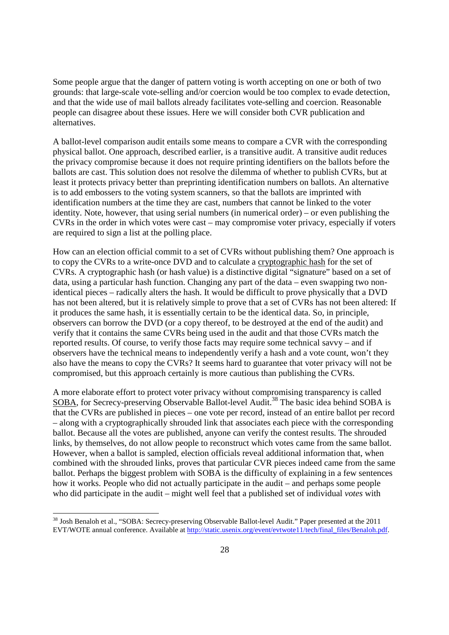Some people argue that the danger of pattern voting is worth accepting on one or both of two grounds: that large-scale vote-selling and/or coercion would be too complex to evade detection, and that the wide use of mail ballots already facilitates vote-selling and coercion. Reasonable people can disagree about these issues. Here we will consider both CVR publication and alternatives.

A ballot-level comparison audit entails some means to compare a CVR with the corresponding physical ballot. One approach, described earlier, is a transitive audit. A transitive audit reduces the privacy compromise because it does not require printing identifiers on the ballots before the ballots are cast. This solution does not resolve the dilemma of whether to publish CVRs, but at least it protects privacy better than preprinting identification numbers on ballots. An alternative is to add embossers to the voting system scanners, so that the ballots are imprinted with identification numbers at the time they are cast, numbers that cannot be linked to the voter identity. Note, however, that using serial numbers (in numerical order) – or even publishing the CVRs in the order in which votes were cast – may compromise voter privacy, especially if voters are required to sign a list at the polling place.

How can an election official commit to a set of CVRs without publishing them? One approach is to copy the CVRs to a write-once DVD and to calculate a cryptographic hash for the set of CVRs. A cryptographic hash (or hash value) is a distinctive digital "signature" based on a set of data, using a particular hash function. Changing any part of the data – even swapping two nonidentical pieces – radically alters the hash. It would be difficult to prove physically that a DVD has not been altered, but it is relatively simple to prove that a set of CVRs has not been altered: If it produces the same hash, it is essentially certain to be the identical data. So, in principle, observers can borrow the DVD (or a copy thereof, to be destroyed at the end of the audit) and verify that it contains the same CVRs being used in the audit and that those CVRs match the reported results. Of course, to verify those facts may require some technical savvy – and if observers have the technical means to independently verify a hash and a vote count, won't they also have the means to copy the CVRs? It seems hard to guarantee that voter privacy will not be compromised, but this approach certainly is more cautious than publishing the CVRs.

A more elaborate effort to protect voter privacy without compromising transparency is called SOBA, for Secrecy-preserving Observable Ballot-level Audit.<sup>38</sup> The basic idea behind SOBA is that the CVRs are published in pieces – one vote per record, instead of an entire ballot per record – along with a cryptographically shrouded link that associates each piece with the corresponding ballot. Because all the votes are published, anyone can verify the contest results. The shrouded links, by themselves, do not allow people to reconstruct which votes came from the same ballot. However, when a ballot is sampled, election officials reveal additional information that, when combined with the shrouded links, proves that particular CVR pieces indeed came from the same ballot. Perhaps the biggest problem with SOBA is the difficulty of explaining in a few sentences how it works. People who did not actually participate in the audit – and perhaps some people who did participate in the audit – might well feel that a published set of individual *votes* with

<sup>&</sup>lt;sup>38</sup> Josh Benaloh et al., "SOBA: Secrecy-preserving Observable Ballot-level Audit." Paper presented at the 2011 EVT/WOTE annual conference. Available at http://static.usenix.org/event/evtwote11/tech/final\_files/Benaloh.pdf.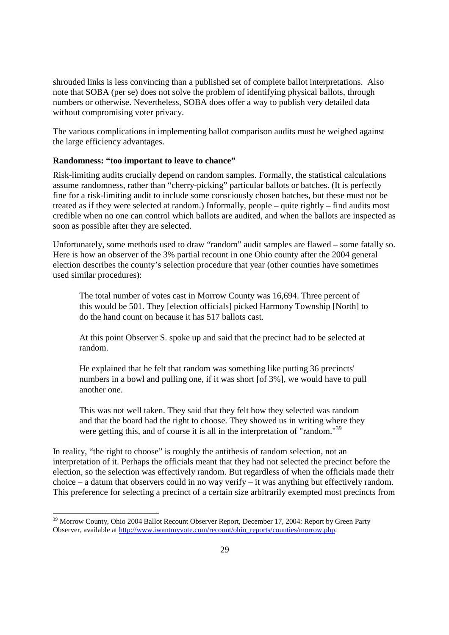shrouded links is less convincing than a published set of complete ballot interpretations. Also note that SOBA (per se) does not solve the problem of identifying physical ballots, through numbers or otherwise. Nevertheless, SOBA does offer a way to publish very detailed data without compromising voter privacy.

The various complications in implementing ballot comparison audits must be weighed against the large efficiency advantages.

#### **Randomness: "too important to leave to chance"**

Risk-limiting audits crucially depend on random samples. Formally, the statistical calculations assume randomness, rather than "cherry-picking" particular ballots or batches. (It is perfectly fine for a risk-limiting audit to include some consciously chosen batches, but these must not be treated as if they were selected at random.) Informally, people – quite rightly – find audits most credible when no one can control which ballots are audited, and when the ballots are inspected as soon as possible after they are selected.

Unfortunately, some methods used to draw "random" audit samples are flawed – some fatally so. Here is how an observer of the 3% partial recount in one Ohio county after the 2004 general election describes the county's selection procedure that year (other counties have sometimes used similar procedures):

The total number of votes cast in Morrow County was 16,694. Three percent of this would be 501. They [election officials] picked Harmony Township [North] to do the hand count on because it has 517 ballots cast.

At this point Observer S. spoke up and said that the precinct had to be selected at random.

He explained that he felt that random was something like putting 36 precincts' numbers in a bowl and pulling one, if it was short [of 3%], we would have to pull another one.

This was not well taken. They said that they felt how they selected was random and that the board had the right to choose. They showed us in writing where they were getting this, and of course it is all in the interpretation of "random."<sup>39</sup>

In reality, "the right to choose" is roughly the antithesis of random selection, not an interpretation of it. Perhaps the officials meant that they had not selected the precinct before the election, so the selection was effectively random. But regardless of when the officials made their choice – a datum that observers could in no way verify – it was anything but effectively random. This preference for selecting a precinct of a certain size arbitrarily exempted most precincts from

<sup>&</sup>lt;sup>39</sup> Morrow County, Ohio 2004 Ballot Recount Observer Report, December 17, 2004: Report by Green Party Observer, available at http://www.iwantmyvote.com/recount/ohio\_reports/counties/morrow.php.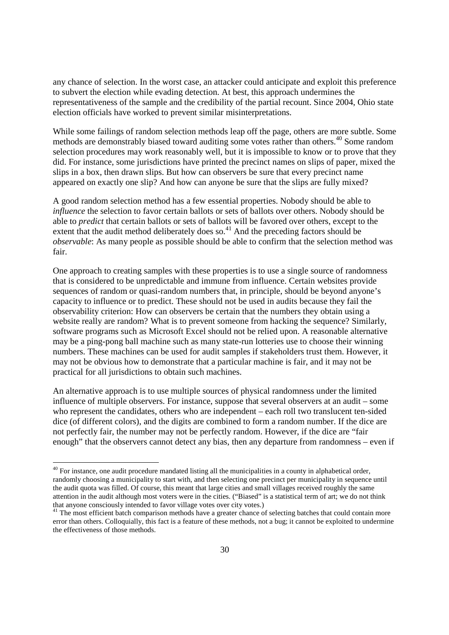any chance of selection. In the worst case, an attacker could anticipate and exploit this preference to subvert the election while evading detection. At best, this approach undermines the representativeness of the sample and the credibility of the partial recount. Since 2004, Ohio state election officials have worked to prevent similar misinterpretations.

While some failings of random selection methods leap off the page, others are more subtle. Some methods are demonstrably biased toward auditing some votes rather than others.<sup>40</sup> Some random selection procedures may work reasonably well, but it is impossible to know or to prove that they did. For instance, some jurisdictions have printed the precinct names on slips of paper, mixed the slips in a box, then drawn slips. But how can observers be sure that every precinct name appeared on exactly one slip? And how can anyone be sure that the slips are fully mixed?

A good random selection method has a few essential properties. Nobody should be able to *influence* the selection to favor certain ballots or sets of ballots over others. Nobody should be able to *predict* that certain ballots or sets of ballots will be favored over others, except to the extent that the audit method deliberately does so.<sup>41</sup> And the preceding factors should be *observable*: As many people as possible should be able to confirm that the selection method was fair.

One approach to creating samples with these properties is to use a single source of randomness that is considered to be unpredictable and immune from influence. Certain websites provide sequences of random or quasi-random numbers that, in principle, should be beyond anyone's capacity to influence or to predict. These should not be used in audits because they fail the observability criterion: How can observers be certain that the numbers they obtain using a website really are random? What is to prevent someone from hacking the sequence? Similarly, software programs such as Microsoft Excel should not be relied upon. A reasonable alternative may be a ping-pong ball machine such as many state-run lotteries use to choose their winning numbers. These machines can be used for audit samples if stakeholders trust them. However, it may not be obvious how to demonstrate that a particular machine is fair, and it may not be practical for all jurisdictions to obtain such machines.

An alternative approach is to use multiple sources of physical randomness under the limited influence of multiple observers. For instance, suppose that several observers at an audit – some who represent the candidates, others who are independent – each roll two translucent ten-sided dice (of different colors), and the digits are combined to form a random number. If the dice are not perfectly fair, the number may not be perfectly random. However, if the dice are "fair enough" that the observers cannot detect any bias, then any departure from randomness – even if

 $40$  For instance, one audit procedure mandated listing all the municipalities in a county in alphabetical order, randomly choosing a municipality to start with, and then selecting one precinct per municipality in sequence until the audit quota was filled. Of course, this meant that large cities and small villages received roughly the same attention in the audit although most voters were in the cities. ("Biased" is a statistical term of art; we do not think that anyone consciously intended to favor village votes over city votes.)

<sup>&</sup>lt;sup>41</sup> The most efficient batch comparison methods have a greater chance of selecting batches that could contain more error than others. Colloquially, this fact is a feature of these methods, not a bug; it cannot be exploited to undermine the effectiveness of those methods.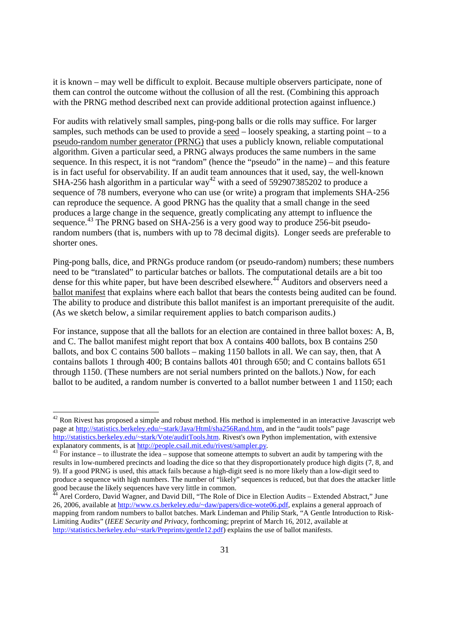it is known – may well be difficult to exploit. Because multiple observers participate, none of them can control the outcome without the collusion of all the rest. (Combining this approach with the PRNG method described next can provide additional protection against influence.)

For audits with relatively small samples, ping-pong balls or die rolls may suffice. For larger samples, such methods can be used to provide a seed – loosely speaking, a starting point – to a pseudo-random number generator (PRNG) that uses a publicly known, reliable computational algorithm. Given a particular seed, a PRNG always produces the same numbers in the same sequence. In this respect, it is not "random" (hence the "pseudo" in the name) – and this feature is in fact useful for observability. If an audit team announces that it used, say, the well-known SHA-256 hash algorithm in a particular way<sup>42</sup> with a seed of 592907385202 to produce a sequence of 78 numbers, everyone who can use (or write) a program that implements SHA-256 can reproduce the sequence. A good PRNG has the quality that a small change in the seed produces a large change in the sequence, greatly complicating any attempt to influence the sequence.<sup>43</sup> The PRNG based on SHA-256 is a very good way to produce 256-bit pseudorandom numbers (that is, numbers with up to 78 decimal digits). Longer seeds are preferable to shorter ones.

Ping-pong balls, dice, and PRNGs produce random (or pseudo-random) numbers; these numbers need to be "translated" to particular batches or ballots. The computational details are a bit too dense for this white paper, but have been described elsewhere.<sup>44</sup> Auditors and observers need a ballot manifest that explains where each ballot that bears the contests being audited can be found. The ability to produce and distribute this ballot manifest is an important prerequisite of the audit. (As we sketch below, a similar requirement applies to batch comparison audits.)

For instance, suppose that all the ballots for an election are contained in three ballot boxes: A, B, and C. The ballot manifest might report that box A contains 400 ballots, box B contains 250 ballots, and box C contains 500 ballots – making 1150 ballots in all. We can say, then, that A contains ballots 1 through 400; B contains ballots 401 through 650; and C contains ballots 651 through 1150. (These numbers are not serial numbers printed on the ballots.) Now, for each ballot to be audited, a random number is converted to a ballot number between 1 and 1150; each

 $42$  Ron Rivest has proposed a simple and robust method. His method is implemented in an interactive Javascript web page at http://statistics.berkeley.edu/~stark/Java/Html/sha256Rand.htm, and in the "audit tools" page http://statistics.berkeley.edu/~stark/Vote/auditTools.htm. Rivest's own Python implementation, with extensive explanatory comments, is at http://people.csail.mit.edu/rivest/sampler.py.

 $43$  For instance – to illustrate the idea – suppose that someone attempts to subvert an audit by tampering with the results in low-numbered precincts and loading the dice so that they disproportionately produce high digits (7, 8, and 9). If a good PRNG is used, this attack fails because a high-digit seed is no more likely than a low-digit seed to produce a sequence with high numbers. The number of "likely" sequences is reduced, but that does the attacker little good because the likely sequences have very little in common.

<sup>&</sup>lt;sup>44</sup> Arel Cordero, David Wagner, and David Dill, "The Role of Dice in Election Audits – Extended Abstract," June 26, 2006, available at http://www.cs.berkeley.edu/~daw/papers/dice-wote06.pdf, explains a general approach of mapping from random numbers to ballot batches. Mark Lindeman and Philip Stark, "A Gentle Introduction to Risk-Limiting Audits" (*IEEE Security and Privacy*, forthcoming; preprint of March 16, 2012, available at http://statistics.berkeley.edu/~stark/Preprints/gentle12.pdf) explains the use of ballot manifests.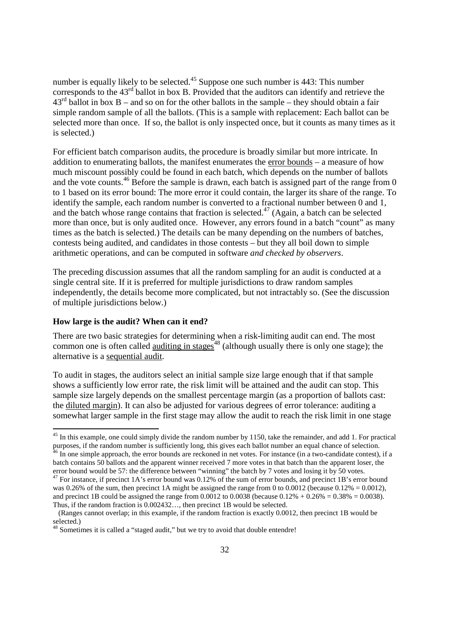number is equally likely to be selected.<sup>45</sup> Suppose one such number is  $443$ : This number corresponds to the 43rd ballot in box B. Provided that the auditors can identify and retrieve the  $43<sup>rd</sup>$  ballot in box B – and so on for the other ballots in the sample – they should obtain a fair simple random sample of all the ballots. (This is a sample with replacement: Each ballot can be selected more than once. If so, the ballot is only inspected once, but it counts as many times as it is selected.)

For efficient batch comparison audits, the procedure is broadly similar but more intricate. In addition to enumerating ballots, the manifest enumerates the error bounds – a measure of how much miscount possibly could be found in each batch, which depends on the number of ballots and the vote counts.<sup>46</sup> Before the sample is drawn, each batch is assigned part of the range from 0 to 1 based on its error bound: The more error it could contain, the larger its share of the range. To identify the sample, each random number is converted to a fractional number between 0 and 1, and the batch whose range contains that fraction is selected.<sup> $47$ </sup> (Again, a batch can be selected more than once, but is only audited once. However, any errors found in a batch "count" as many times as the batch is selected.) The details can be many depending on the numbers of batches, contests being audited, and candidates in those contests – but they all boil down to simple arithmetic operations, and can be computed in software *and checked by observers*.

The preceding discussion assumes that all the random sampling for an audit is conducted at a single central site. If it is preferred for multiple jurisdictions to draw random samples independently, the details become more complicated, but not intractably so. (See the discussion of multiple jurisdictions below.)

#### **How large is the audit? When can it end?**

-

There are two basic strategies for determining when a risk-limiting audit can end. The most common one is often called <u>auditing in stages<sup>48</sup></u> (although usually there is only one stage); the alternative is a sequential audit.

To audit in stages, the auditors select an initial sample size large enough that if that sample shows a sufficiently low error rate, the risk limit will be attained and the audit can stop. This sample size largely depends on the smallest percentage margin (as a proportion of ballots cast: the diluted margin). It can also be adjusted for various degrees of error tolerance: auditing a somewhat larger sample in the first stage may allow the audit to reach the risk limit in one stage

 $45$  In this example, one could simply divide the random number by 1150, take the remainder, and add 1. For practical purposes, if the random number is sufficiently long, this gives each ballot number an equal chance of selection.  $^{46}$  In one simple approach, the error bounds are reckoned in net votes. For instance (in a two-candidate contest), if a batch contains 50 ballots and the apparent winner received 7 more votes in that batch than the apparent loser, the error bound would be 57: the difference between "winning" the batch by 7 votes and losing it by 50 votes.

 $47$  For instance, if precinct 1A's error bound was 0.12% of the sum of error bounds, and precinct 1B's error bound was 0.26% of the sum, then precinct 1A might be assigned the range from 0 to 0.0012 (because 0.12% = 0.0012), and precinct 1B could be assigned the range from 0.0012 to 0.0038 (because  $0.12\% + 0.26\% = 0.38\% = 0.0038$ ). Thus, if the random fraction is 0.002432…, then precinct 1B would be selected.

 <sup>(</sup>Ranges cannot overlap; in this example, if the random fraction is exactly 0.0012, then precinct 1B would be selected.)

<sup>&</sup>lt;sup>48</sup> Sometimes it is called a "staged audit," but we try to avoid that double entendre!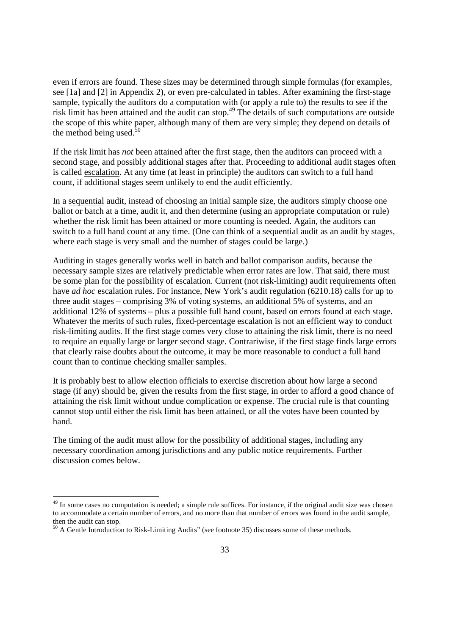even if errors are found. These sizes may be determined through simple formulas (for examples, see [1a] and [2] in Appendix 2), or even pre-calculated in tables. After examining the first-stage sample, typically the auditors do a computation with (or apply a rule to) the results to see if the risk limit has been attained and the audit can stop. <sup>49</sup> The details of such computations are outside the scope of this white paper, although many of them are very simple; they depend on details of the method being used. $5$ 

If the risk limit has *not* been attained after the first stage, then the auditors can proceed with a second stage, and possibly additional stages after that. Proceeding to additional audit stages often is called escalation. At any time (at least in principle) the auditors can switch to a full hand count, if additional stages seem unlikely to end the audit efficiently.

In a sequential audit, instead of choosing an initial sample size, the auditors simply choose one ballot or batch at a time, audit it, and then determine (using an appropriate computation or rule) whether the risk limit has been attained or more counting is needed. Again, the auditors can switch to a full hand count at any time. (One can think of a sequential audit as an audit by stages, where each stage is very small and the number of stages could be large.)

Auditing in stages generally works well in batch and ballot comparison audits, because the necessary sample sizes are relatively predictable when error rates are low. That said, there must be some plan for the possibility of escalation. Current (not risk-limiting) audit requirements often have *ad hoc* escalation rules. For instance, New York's audit regulation (6210.18) calls for up to three audit stages – comprising 3% of voting systems, an additional 5% of systems, and an additional 12% of systems – plus a possible full hand count, based on errors found at each stage. Whatever the merits of such rules, fixed-percentage escalation is not an efficient way to conduct risk-limiting audits. If the first stage comes very close to attaining the risk limit, there is no need to require an equally large or larger second stage. Contrariwise, if the first stage finds large errors that clearly raise doubts about the outcome, it may be more reasonable to conduct a full hand count than to continue checking smaller samples.

It is probably best to allow election officials to exercise discretion about how large a second stage (if any) should be, given the results from the first stage, in order to afford a good chance of attaining the risk limit without undue complication or expense. The crucial rule is that counting cannot stop until either the risk limit has been attained, or all the votes have been counted by hand.

The timing of the audit must allow for the possibility of additional stages, including any necessary coordination among jurisdictions and any public notice requirements. Further discussion comes below.

<sup>&</sup>lt;sup>49</sup> In some cases no computation is needed; a simple rule suffices. For instance, if the original audit size was chosen to accommodate a certain number of errors, and no more than that number of errors was found in the audit sample, then the audit can stop.

<sup>&</sup>lt;sup>50</sup> A Gentle Introduction to Risk-Limiting Audits" (see footnote 35) discusses some of these methods.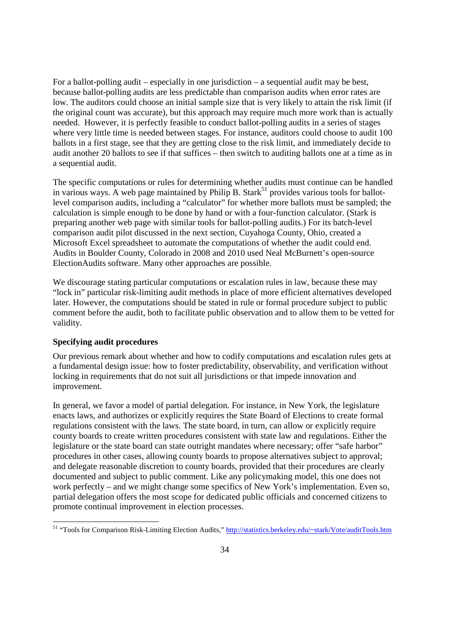For a ballot-polling audit – especially in one jurisdiction – a sequential audit may be best. because ballot-polling audits are less predictable than comparison audits when error rates are low. The auditors could choose an initial sample size that is very likely to attain the risk limit (if the original count was accurate), but this approach may require much more work than is actually needed. However, it is perfectly feasible to conduct ballot-polling audits in a series of stages where very little time is needed between stages. For instance, auditors could choose to audit 100 ballots in a first stage, see that they are getting close to the risk limit, and immediately decide to audit another 20 ballots to see if that suffices – then switch to auditing ballots one at a time as in a sequential audit.

The specific computations or rules for determining whether audits must continue can be handled in various ways. A web page maintained by Philip B. Stark<sup>51</sup> provides various tools for ballotlevel comparison audits, including a "calculator" for whether more ballots must be sampled; the calculation is simple enough to be done by hand or with a four-function calculator. (Stark is preparing another web page with similar tools for ballot-polling audits.) For its batch-level comparison audit pilot discussed in the next section, Cuyahoga County, Ohio, created a Microsoft Excel spreadsheet to automate the computations of whether the audit could end. Audits in Boulder County, Colorado in 2008 and 2010 used Neal McBurnett's open-source ElectionAudits software. Many other approaches are possible.

We discourage stating particular computations or escalation rules in law, because these may "lock in" particular risk-limiting audit methods in place of more efficient alternatives developed later. However, the computations should be stated in rule or formal procedure subject to public comment before the audit, both to facilitate public observation and to allow them to be vetted for validity.

## **Specifying audit procedures**

-

Our previous remark about whether and how to codify computations and escalation rules gets at a fundamental design issue: how to foster predictability, observability, and verification without locking in requirements that do not suit all jurisdictions or that impede innovation and improvement.

In general, we favor a model of partial delegation. For instance, in New York, the legislature enacts laws, and authorizes or explicitly requires the State Board of Elections to create formal regulations consistent with the laws. The state board, in turn, can allow or explicitly require county boards to create written procedures consistent with state law and regulations. Either the legislature or the state board can state outright mandates where necessary; offer "safe harbor" procedures in other cases, allowing county boards to propose alternatives subject to approval; and delegate reasonable discretion to county boards, provided that their procedures are clearly documented and subject to public comment. Like any policymaking model, this one does not work perfectly – and we might change some specifics of New York's implementation. Even so, partial delegation offers the most scope for dedicated public officials and concerned citizens to promote continual improvement in election processes.

<sup>&</sup>lt;sup>51</sup> "Tools for Comparison Risk-Limiting Election Audits," http://statistics.berkeley.edu/~stark/Vote/auditTools.htm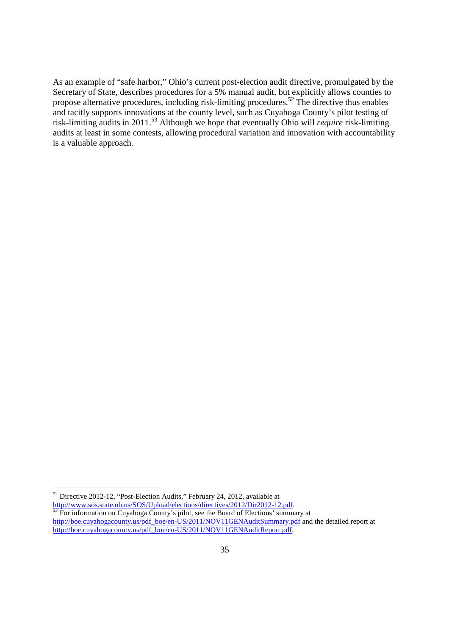As an example of "safe harbor," Ohio's current post-election audit directive, promulgated by the Secretary of State, describes procedures for a 5% manual audit, but explicitly allows counties to propose alternative procedures, including risk-limiting procedures.<sup>52</sup> The directive thus enables and tacitly supports innovations at the county level, such as Cuyahoga County's pilot testing of risk-limiting audits in 2011.<sup>53</sup> Although we hope that eventually Ohio will *require* risk-limiting audits at least in some contests, allowing procedural variation and innovation with accountability is a valuable approach.

 $52$  Directive 2012-12, "Post-Election Audits," February 24, 2012, available at http://www.sos.state.oh.us/SOS/Upload/elections/directives/2012/Dir2012-12.pdf.

 $53$  For information on Cuyahoga County's pilot, see the Board of Elections' summary at http://boe.cuyahogacounty.us/pdf\_boe/en-US/2011/NOV11GENAuditSummary.pdf and the detailed report at http://boe.cuyahogacounty.us/pdf\_boe/en-US/2011/NOV11GENAuditReport.pdf.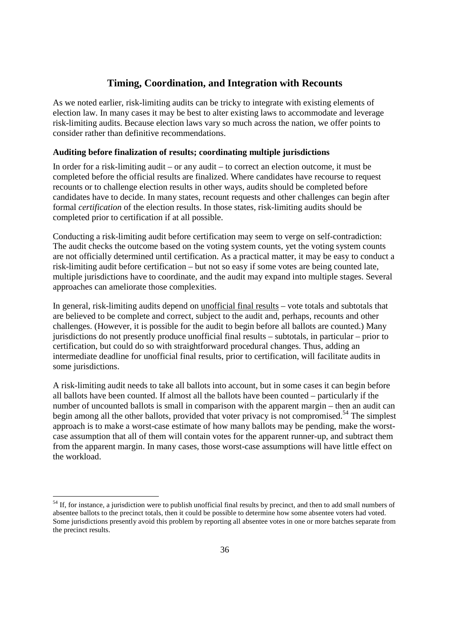# **Timing, Coordination, and Integration with Recounts**

As we noted earlier, risk-limiting audits can be tricky to integrate with existing elements of election law. In many cases it may be best to alter existing laws to accommodate and leverage risk-limiting audits. Because election laws vary so much across the nation, we offer points to consider rather than definitive recommendations.

#### **Auditing before finalization of results; coordinating multiple jurisdictions**

In order for a risk-limiting audit – or any audit – to correct an election outcome, it must be completed before the official results are finalized. Where candidates have recourse to request recounts or to challenge election results in other ways, audits should be completed before candidates have to decide. In many states, recount requests and other challenges can begin after formal *certification* of the election results. In those states, risk-limiting audits should be completed prior to certification if at all possible.

Conducting a risk-limiting audit before certification may seem to verge on self-contradiction: The audit checks the outcome based on the voting system counts, yet the voting system counts are not officially determined until certification. As a practical matter, it may be easy to conduct a risk-limiting audit before certification – but not so easy if some votes are being counted late, multiple jurisdictions have to coordinate, and the audit may expand into multiple stages. Several approaches can ameliorate those complexities.

In general, risk-limiting audits depend on unofficial final results – vote totals and subtotals that are believed to be complete and correct, subject to the audit and, perhaps, recounts and other challenges. (However, it is possible for the audit to begin before all ballots are counted.) Many jurisdictions do not presently produce unofficial final results – subtotals, in particular – prior to certification, but could do so with straightforward procedural changes. Thus, adding an intermediate deadline for unofficial final results, prior to certification, will facilitate audits in some jurisdictions.

A risk-limiting audit needs to take all ballots into account, but in some cases it can begin before all ballots have been counted. If almost all the ballots have been counted – particularly if the number of uncounted ballots is small in comparison with the apparent margin – then an audit can begin among all the other ballots, provided that voter privacy is not compromised.<sup>54</sup> The simplest approach is to make a worst-case estimate of how many ballots may be pending, make the worstcase assumption that all of them will contain votes for the apparent runner-up, and subtract them from the apparent margin. In many cases, those worst-case assumptions will have little effect on the workload.

 $54$  If, for instance, a jurisdiction were to publish unofficial final results by precinct, and then to add small numbers of absentee ballots to the precinct totals, then it could be possible to determine how some absentee voters had voted. Some jurisdictions presently avoid this problem by reporting all absentee votes in one or more batches separate from the precinct results.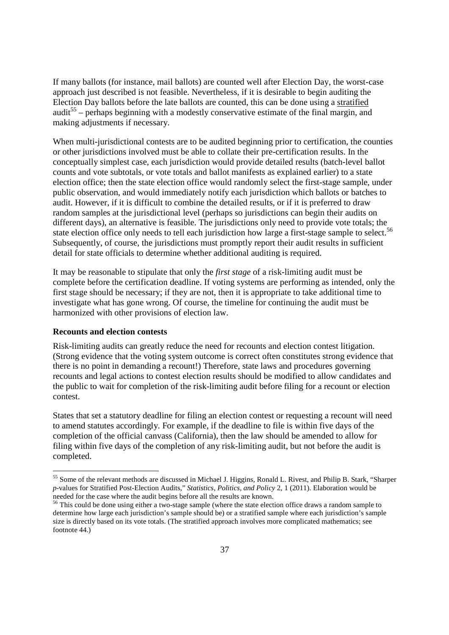If many ballots (for instance, mail ballots) are counted well after Election Day, the worst-case approach just described is not feasible. Nevertheless, if it is desirable to begin auditing the Election Day ballots before the late ballots are counted, this can be done using a stratified audit<sup>55</sup> – perhaps beginning with a modestly conservative estimate of the final margin, and making adjustments if necessary.

When multi-jurisdictional contests are to be audited beginning prior to certification, the counties or other jurisdictions involved must be able to collate their pre-certification results. In the conceptually simplest case, each jurisdiction would provide detailed results (batch-level ballot counts and vote subtotals, or vote totals and ballot manifests as explained earlier) to a state election office; then the state election office would randomly select the first-stage sample, under public observation, and would immediately notify each jurisdiction which ballots or batches to audit. However, if it is difficult to combine the detailed results, or if it is preferred to draw random samples at the jurisdictional level (perhaps so jurisdictions can begin their audits on different days), an alternative is feasible. The jurisdictions only need to provide vote totals; the state election office only needs to tell each jurisdiction how large a first-stage sample to select.<sup>56</sup> Subsequently, of course, the jurisdictions must promptly report their audit results in sufficient detail for state officials to determine whether additional auditing is required.

It may be reasonable to stipulate that only the *first stage* of a risk-limiting audit must be complete before the certification deadline. If voting systems are performing as intended, only the first stage should be necessary; if they are not, then it is appropriate to take additional time to investigate what has gone wrong. Of course, the timeline for continuing the audit must be harmonized with other provisions of election law.

#### **Recounts and election contests**

-

Risk-limiting audits can greatly reduce the need for recounts and election contest litigation. (Strong evidence that the voting system outcome is correct often constitutes strong evidence that there is no point in demanding a recount!) Therefore, state laws and procedures governing recounts and legal actions to contest election results should be modified to allow candidates and the public to wait for completion of the risk-limiting audit before filing for a recount or election contest.

States that set a statutory deadline for filing an election contest or requesting a recount will need to amend statutes accordingly. For example, if the deadline to file is within five days of the completion of the official canvass (California), then the law should be amended to allow for filing within five days of the completion of any risk-limiting audit, but not before the audit is completed.

<sup>&</sup>lt;sup>55</sup> Some of the relevant methods are discussed in Michael J. Higgins, Ronald L. Rivest, and Philip B. Stark, "Sharper *p*-values for Stratified Post-Election Audits," *Statistics, Politics, and Policy* 2, 1 (2011). Elaboration would be needed for the case where the audit begins before all the results are known.

<sup>&</sup>lt;sup>56</sup> This could be done using either a two-stage sample (where the state election office draws a random sample to determine how large each jurisdiction's sample should be) or a stratified sample where each jurisdiction's sample size is directly based on its vote totals. (The stratified approach involves more complicated mathematics; see footnote 44.)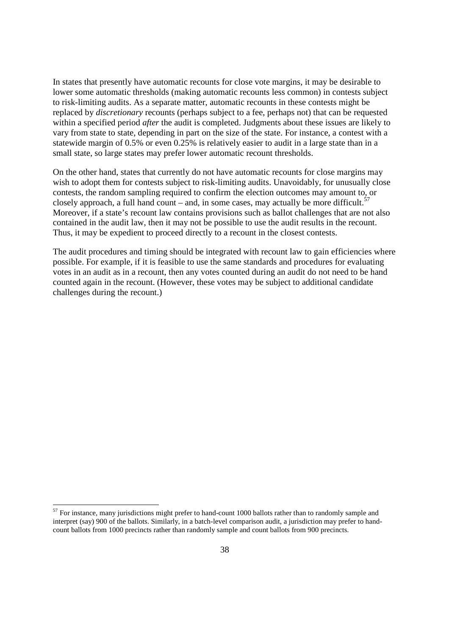In states that presently have automatic recounts for close vote margins, it may be desirable to lower some automatic thresholds (making automatic recounts less common) in contests subject to risk-limiting audits. As a separate matter, automatic recounts in these contests might be replaced by *discretionary* recounts (perhaps subject to a fee, perhaps not) that can be requested within a specified period *after* the audit is completed. Judgments about these issues are likely to vary from state to state, depending in part on the size of the state. For instance, a contest with a statewide margin of 0.5% or even 0.25% is relatively easier to audit in a large state than in a small state, so large states may prefer lower automatic recount thresholds.

On the other hand, states that currently do not have automatic recounts for close margins may wish to adopt them for contests subject to risk-limiting audits. Unavoidably, for unusually close contests, the random sampling required to confirm the election outcomes may amount to, or closely approach, a full hand count – and, in some cases, may actually be more difficult.<sup>57</sup> Moreover, if a state's recount law contains provisions such as ballot challenges that are not also contained in the audit law, then it may not be possible to use the audit results in the recount. Thus, it may be expedient to proceed directly to a recount in the closest contests.

The audit procedures and timing should be integrated with recount law to gain efficiencies where possible. For example, if it is feasible to use the same standards and procedures for evaluating votes in an audit as in a recount, then any votes counted during an audit do not need to be hand counted again in the recount. (However, these votes may be subject to additional candidate challenges during the recount.)

 $57$  For instance, many jurisdictions might prefer to hand-count 1000 ballots rather than to randomly sample and interpret (say) 900 of the ballots. Similarly, in a batch-level comparison audit, a jurisdiction may prefer to handcount ballots from 1000 precincts rather than randomly sample and count ballots from 900 precincts.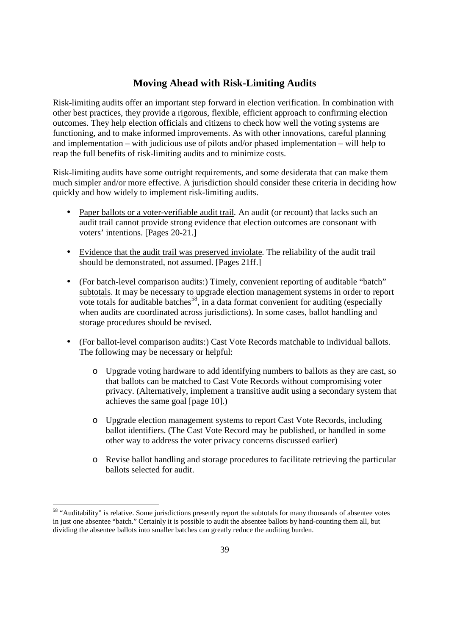# **Moving Ahead with Risk-Limiting Audits**

Risk-limiting audits offer an important step forward in election verification. In combination with other best practices, they provide a rigorous, flexible, efficient approach to confirming election outcomes. They help election officials and citizens to check how well the voting systems are functioning, and to make informed improvements. As with other innovations, careful planning and implementation – with judicious use of pilots and/or phased implementation – will help to reap the full benefits of risk-limiting audits and to minimize costs.

Risk-limiting audits have some outright requirements, and some desiderata that can make them much simpler and/or more effective. A jurisdiction should consider these criteria in deciding how quickly and how widely to implement risk-limiting audits.

- Paper ballots or a voter-verifiable audit trail. An audit (or recount) that lacks such an audit trail cannot provide strong evidence that election outcomes are consonant with voters' intentions. [Pages 20-21.]
- Evidence that the audit trail was preserved inviolate*.* The reliability of the audit trail should be demonstrated, not assumed. [Pages 21ff.]
- (For batch-level comparison audits:) Timely, convenient reporting of auditable "batch" subtotals. It may be necessary to upgrade election management systems in order to report vote totals for auditable batches<sup>58</sup>, in a data format convenient for auditing (especially when audits are coordinated across jurisdictions). In some cases, ballot handling and storage procedures should be revised.
- (For ballot-level comparison audits:) Cast Vote Records matchable to individual ballots. The following may be necessary or helpful:
	- o Upgrade voting hardware to add identifying numbers to ballots as they are cast, so that ballots can be matched to Cast Vote Records without compromising voter privacy. (Alternatively, implement a transitive audit using a secondary system that achieves the same goal [page 10].)
	- o Upgrade election management systems to report Cast Vote Records, including ballot identifiers. (The Cast Vote Record may be published, or handled in some other way to address the voter privacy concerns discussed earlier)
	- o Revise ballot handling and storage procedures to facilitate retrieving the particular ballots selected for audit.

<sup>&</sup>lt;sup>58</sup> "Auditability" is relative. Some jurisdictions presently report the subtotals for many thousands of absentee votes in just one absentee "batch." Certainly it is possible to audit the absentee ballots by hand-counting them all, but dividing the absentee ballots into smaller batches can greatly reduce the auditing burden.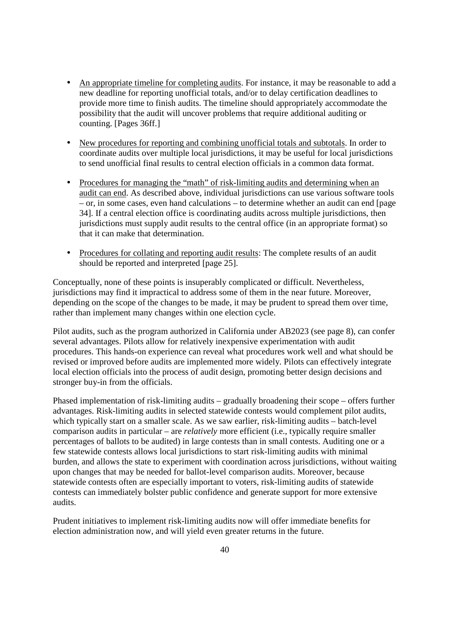- An appropriate timeline for completing audits. For instance, it may be reasonable to add a new deadline for reporting unofficial totals, and/or to delay certification deadlines to provide more time to finish audits. The timeline should appropriately accommodate the possibility that the audit will uncover problems that require additional auditing or counting. [Pages 36ff.]
- New procedures for reporting and combining unofficial totals and subtotals. In order to coordinate audits over multiple local jurisdictions, it may be useful for local jurisdictions to send unofficial final results to central election officials in a common data format.
- Procedures for managing the "math" of risk-limiting audits and determining when an audit can end. As described above, individual jurisdictions can use various software tools – or, in some cases, even hand calculations – to determine whether an audit can end [page 34]. If a central election office is coordinating audits across multiple jurisdictions, then jurisdictions must supply audit results to the central office (in an appropriate format) so that it can make that determination.
- Procedures for collating and reporting audit results: The complete results of an audit should be reported and interpreted [page 25].

Conceptually, none of these points is insuperably complicated or difficult. Nevertheless, jurisdictions may find it impractical to address some of them in the near future. Moreover, depending on the scope of the changes to be made, it may be prudent to spread them over time, rather than implement many changes within one election cycle.

Pilot audits, such as the program authorized in California under AB2023 (see page 8), can confer several advantages. Pilots allow for relatively inexpensive experimentation with audit procedures. This hands-on experience can reveal what procedures work well and what should be revised or improved before audits are implemented more widely. Pilots can effectively integrate local election officials into the process of audit design, promoting better design decisions and stronger buy-in from the officials.

Phased implementation of risk-limiting audits – gradually broadening their scope – offers further advantages. Risk-limiting audits in selected statewide contests would complement pilot audits, which typically start on a smaller scale. As we saw earlier, risk-limiting audits – batch-level comparison audits in particular – are *relatively* more efficient (i.e., typically require smaller percentages of ballots to be audited) in large contests than in small contests. Auditing one or a few statewide contests allows local jurisdictions to start risk-limiting audits with minimal burden, and allows the state to experiment with coordination across jurisdictions, without waiting upon changes that may be needed for ballot-level comparison audits. Moreover, because statewide contests often are especially important to voters, risk-limiting audits of statewide contests can immediately bolster public confidence and generate support for more extensive audits.

Prudent initiatives to implement risk-limiting audits now will offer immediate benefits for election administration now, and will yield even greater returns in the future.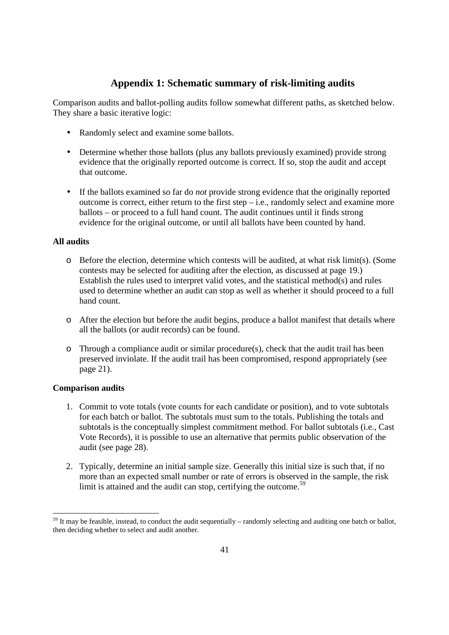# **Appendix 1: Schematic summary of risk-limiting audits**

Comparison audits and ballot-polling audits follow somewhat different paths, as sketched below. They share a basic iterative logic:

- Randomly select and examine some ballots.
- Determine whether those ballots (plus any ballots previously examined) provide strong evidence that the originally reported outcome is correct. If so, stop the audit and accept that outcome.
- If the ballots examined so far do *not* provide strong evidence that the originally reported outcome is correct, either return to the first step – i.e., randomly select and examine more ballots – or proceed to a full hand count. The audit continues until it finds strong evidence for the original outcome, or until all ballots have been counted by hand.

## **All audits**

- $\circ$  Before the election, determine which contests will be audited, at what risk limit(s). (Some contests may be selected for auditing after the election, as discussed at page 19.) Establish the rules used to interpret valid votes, and the statistical method(s) and rules used to determine whether an audit can stop as well as whether it should proceed to a full hand count.
- o After the election but before the audit begins, produce a ballot manifest that details where all the ballots (or audit records) can be found.
- o Through a compliance audit or similar procedure(s), check that the audit trail has been preserved inviolate. If the audit trail has been compromised, respond appropriately (see page 21).

## **Comparison audits**

- 1. Commit to vote totals (vote counts for each candidate or position), and to vote subtotals for each batch or ballot. The subtotals must sum to the totals. Publishing the totals and subtotals is the conceptually simplest commitment method. For ballot subtotals (i.e., Cast Vote Records), it is possible to use an alternative that permits public observation of the audit (see page 28).
- 2. Typically, determine an initial sample size. Generally this initial size is such that, if no more than an expected small number or rate of errors is observed in the sample, the risk limit is attained and the audit can stop, certifying the outcome.<sup>59</sup>

 $59$  It may be feasible, instead, to conduct the audit sequentially – randomly selecting and auditing one batch or ballot, then deciding whether to select and audit another.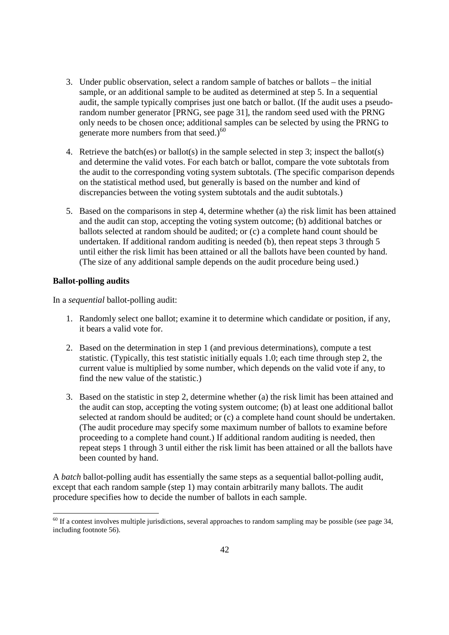- 3. Under public observation, select a random sample of batches or ballots the initial sample, or an additional sample to be audited as determined at step 5. In a sequential audit, the sample typically comprises just one batch or ballot. (If the audit uses a pseudorandom number generator [PRNG, see page 31], the random seed used with the PRNG only needs to be chosen once; additional samples can be selected by using the PRNG to generate more numbers from that seed.) $^{60}$
- 4. Retrieve the batch(es) or ballot(s) in the sample selected in step 3; inspect the ballot(s) and determine the valid votes. For each batch or ballot, compare the vote subtotals from the audit to the corresponding voting system subtotals. (The specific comparison depends on the statistical method used, but generally is based on the number and kind of discrepancies between the voting system subtotals and the audit subtotals.)
- 5. Based on the comparisons in step 4, determine whether (a) the risk limit has been attained and the audit can stop, accepting the voting system outcome; (b) additional batches or ballots selected at random should be audited; or (c) a complete hand count should be undertaken. If additional random auditing is needed (b), then repeat steps 3 through 5 until either the risk limit has been attained or all the ballots have been counted by hand. (The size of any additional sample depends on the audit procedure being used.)

## **Ballot-polling audits**

-

In a *sequential* ballot-polling audit:

- 1. Randomly select one ballot; examine it to determine which candidate or position, if any, it bears a valid vote for.
- 2. Based on the determination in step 1 (and previous determinations), compute a test statistic. (Typically, this test statistic initially equals 1.0; each time through step 2, the current value is multiplied by some number, which depends on the valid vote if any, to find the new value of the statistic.)
- 3. Based on the statistic in step 2, determine whether (a) the risk limit has been attained and the audit can stop, accepting the voting system outcome; (b) at least one additional ballot selected at random should be audited; or (c) a complete hand count should be undertaken. (The audit procedure may specify some maximum number of ballots to examine before proceeding to a complete hand count.) If additional random auditing is needed, then repeat steps 1 through 3 until either the risk limit has been attained or all the ballots have been counted by hand.

A *batch* ballot-polling audit has essentially the same steps as a sequential ballot-polling audit, except that each random sample (step 1) may contain arbitrarily many ballots. The audit procedure specifies how to decide the number of ballots in each sample.

 $60$  If a contest involves multiple jurisdictions, several approaches to random sampling may be possible (see page 34, including footnote 56).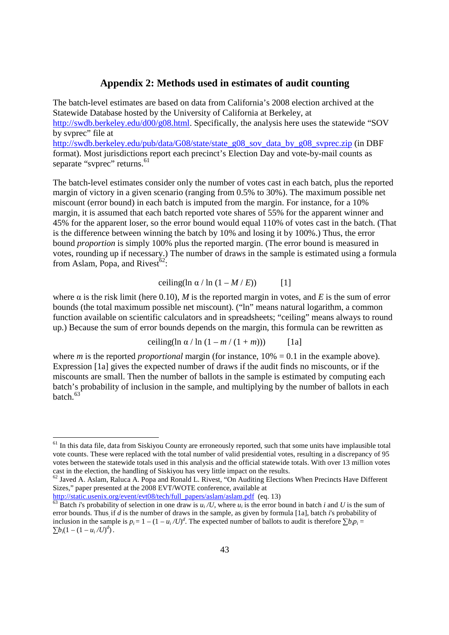## **Appendix 2: Methods used in estimates of audit counting**

The batch-level estimates are based on data from California's 2008 election archived at the Statewide Database hosted by the University of California at Berkeley, at http://swdb.berkeley.edu/d00/g08.html. Specifically, the analysis here uses the statewide "SOV by svprec" file at http://swdb.berkeley.edu/pub/data/G08/state/state\_g08\_sov\_data\_by\_g08\_svprec.zip (in DBF format). Most jurisdictions report each precinct's Election Day and vote-by-mail counts as separate "svprec" returns.<sup>61</sup>

The batch-level estimates consider only the number of votes cast in each batch, plus the reported margin of victory in a given scenario (ranging from 0.5% to 30%). The maximum possible net miscount (error bound) in each batch is imputed from the margin. For instance, for a 10% margin, it is assumed that each batch reported vote shares of 55% for the apparent winner and 45% for the apparent loser, so the error bound would equal 110% of votes cast in the batch. (That is the difference between winning the batch by 10% and losing it by 100%.) Thus, the error bound *proportion* is simply 100% plus the reported margin. (The error bound is measured in votes, rounding up if necessary.) The number of draws in the sample is estimated using a formula from Aslam, Popa, and Rivest $62$ :

#### ceiling(ln  $\alpha$  / ln  $(1 - M / E)$ ) [1]

where  $\alpha$  is the risk limit (here 0.10), *M* is the reported margin in votes, and *E* is the sum of error bounds (the total maximum possible net miscount). ("ln" means natural logarithm, a common function available on scientific calculators and in spreadsheets; "ceiling" means always to round up.) Because the sum of error bounds depends on the margin, this formula can be rewritten as

$$
ceiling(\ln \alpha / \ln (1 - m / (1 + m))) \qquad [1a]
$$

where *m* is the reported *proportional* margin (for instance,  $10\% = 0.1$  in the example above). Expression [1a] gives the expected number of draws if the audit finds no miscounts, or if the miscounts are small. Then the number of ballots in the sample is estimated by computing each batch's probability of inclusion in the sample, and multiplying by the number of ballots in each  $hatch$ <sup>63</sup>

http://static.usenix.org/event/evt08/tech/full\_papers/aslam/aslam.pdf (eq. 13)

<sup>&</sup>lt;sup>61</sup> In this data file, data from Siskiyou County are erroneously reported, such that some units have implausible total vote counts. These were replaced with the total number of valid presidential votes, resulting in a discrepancy of 95 votes between the statewide totals used in this analysis and the official statewide totals. With over 13 million votes cast in the election, the handling of Siskiyou has very little impact on the results.

 $62$  Javed A. Aslam, Raluca A. Popa and Ronald L. Rivest, "On Auditing Elections When Precincts Have Different Sizes," paper presented at the 2008 EVT/WOTE conference, available at

<sup>&</sup>lt;sup>63</sup> Batch *i*'s probability of selection in one draw is  $u_i/U$ , where  $u_i$  is the error bound in batch *i* and *U* is the sum of error bounds. Thus, if *d* is the number of draws in the sample, as given by formula [1a], batch *i*'s probability of inclusion in the sample is  $p_i = 1 - (1 - u_i/U)^d$ . The expected number of ballots to audit is therefore  $\sum b_i p_i =$  $\sum b_i (1 - (1 - u_i/U)^d)$ .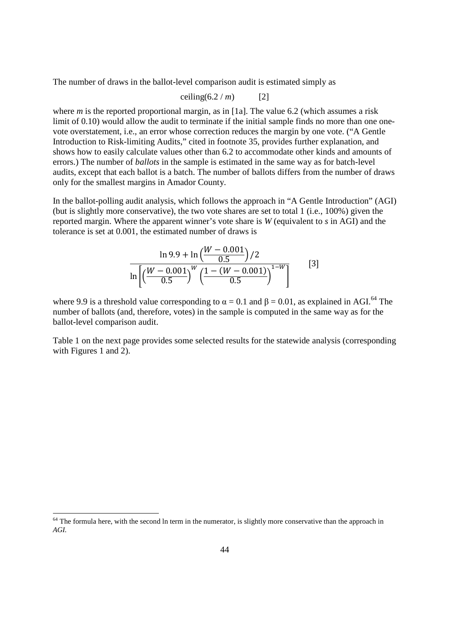The number of draws in the ballot-level comparison audit is estimated simply as

$$
ceiling(6.2 / m) \t[2]
$$

where *m* is the reported proportional margin, as in [1a]. The value 6.2 (which assumes a risk limit of 0.10) would allow the audit to terminate if the initial sample finds no more than one onevote overstatement, i.e., an error whose correction reduces the margin by one vote. ("A Gentle Introduction to Risk-limiting Audits," cited in footnote 35, provides further explanation, and shows how to easily calculate values other than 6.2 to accommodate other kinds and amounts of errors.) The number of *ballots* in the sample is estimated in the same way as for batch-level audits, except that each ballot is a batch. The number of ballots differs from the number of draws only for the smallest margins in Amador County.

In the ballot-polling audit analysis, which follows the approach in "A Gentle Introduction" (AGI) (but is slightly more conservative), the two vote shares are set to total 1 (i.e., 100%) given the reported margin. Where the apparent winner's vote share is *W* (equivalent to *s* in AGI) and the tolerance is set at 0.001, the estimated number of draws is

$$
\ln 9.9 + \ln \left( \frac{W - 0.001}{0.5} \right) / 2
$$
  

$$
\ln \left[ \left( \frac{W - 0.001}{0.5} \right)^W \left( \frac{1 - (W - 0.001)}{0.5} \right)^{1 - W} \right]
$$
 [3]

where 9.9 is a threshold value corresponding to  $\alpha = 0.1$  and  $\beta = 0.01$ , as explained in AGI.<sup>64</sup> The number of ballots (and, therefore, votes) in the sample is computed in the same way as for the ballot-level comparison audit.

Table 1 on the next page provides some selected results for the statewide analysis (corresponding with Figures 1 and 2).

 $64$  The formula here, with the second ln term in the numerator, is slightly more conservative than the approach in *AGI.*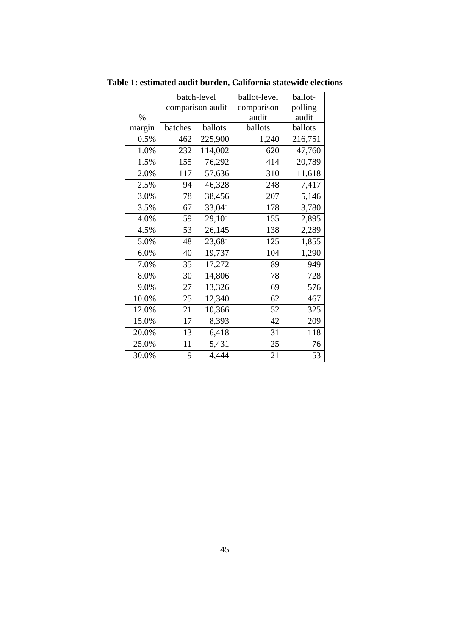|        | batch-level      |         | ballot-level | ballot- |
|--------|------------------|---------|--------------|---------|
|        | comparison audit |         | comparison   | polling |
| $\%$   |                  |         | audit        | audit   |
| margin | batches          | ballots | ballots      | ballots |
| 0.5%   | 462              | 225,900 | 1,240        | 216,751 |
| 1.0%   | 232              | 114,002 | 620          | 47,760  |
| 1.5%   | 155              | 76,292  | 414          | 20,789  |
| 2.0%   | 117              | 57,636  | 310          | 11,618  |
| 2.5%   | 94               | 46,328  | 248          | 7,417   |
| 3.0%   | 78               | 38,456  | 207          | 5,146   |
| 3.5%   | 67               | 33,041  | 178          | 3,780   |
| 4.0%   | 59               | 29,101  | 155          | 2,895   |
| 4.5%   | 53               | 26,145  | 138          | 2,289   |
| 5.0%   | 48               | 23,681  | 125          | 1,855   |
| 6.0%   | 40               | 19,737  | 104          | 1,290   |
| 7.0%   | 35               | 17,272  | 89           | 949     |
| 8.0%   | 30               | 14,806  | 78           | 728     |
| 9.0%   | 27               | 13,326  | 69           | 576     |
| 10.0%  | 25               | 12,340  | 62           | 467     |
| 12.0%  | 21               | 10,366  | 52           | 325     |
| 15.0%  | 17               | 8,393   | 42           | 209     |
| 20.0%  | 13               | 6,418   | 31           | 118     |
| 25.0%  | 11               | 5,431   | 25           | 76      |
| 30.0%  | 9                | 4,444   | 21           | 53      |

**Table 1: estimated audit burden, California statewide elections**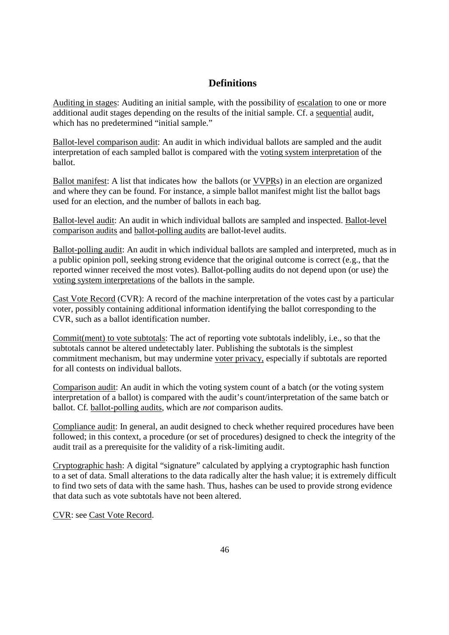# **Definitions**

Auditing in stages: Auditing an initial sample, with the possibility of escalation to one or more additional audit stages depending on the results of the initial sample. Cf. a sequential audit, which has no predetermined "initial sample."

Ballot-level comparison audit: An audit in which individual ballots are sampled and the audit interpretation of each sampled ballot is compared with the voting system interpretation of the ballot.

Ballot manifest: A list that indicates how the ballots (or VVPRs) in an election are organized and where they can be found. For instance, a simple ballot manifest might list the ballot bags used for an election, and the number of ballots in each bag.

Ballot-level audit: An audit in which individual ballots are sampled and inspected. Ballot-level comparison audits and ballot-polling audits are ballot-level audits.

Ballot-polling audit: An audit in which individual ballots are sampled and interpreted, much as in a public opinion poll, seeking strong evidence that the original outcome is correct (e.g., that the reported winner received the most votes). Ballot-polling audits do not depend upon (or use) the voting system interpretations of the ballots in the sample.

Cast Vote Record (CVR): A record of the machine interpretation of the votes cast by a particular voter, possibly containing additional information identifying the ballot corresponding to the CVR, such as a ballot identification number.

Commit(ment) to vote subtotals: The act of reporting vote subtotals indelibly, i.e., so that the subtotals cannot be altered undetectably later. Publishing the subtotals is the simplest commitment mechanism, but may undermine voter privacy, especially if subtotals are reported for all contests on individual ballots.

Comparison audit: An audit in which the voting system count of a batch (or the voting system interpretation of a ballot) is compared with the audit's count/interpretation of the same batch or ballot. Cf*.* ballot-polling audits, which are *not* comparison audits.

Compliance audit: In general, an audit designed to check whether required procedures have been followed; in this context, a procedure (or set of procedures) designed to check the integrity of the audit trail as a prerequisite for the validity of a risk-limiting audit.

Cryptographic hash: A digital "signature" calculated by applying a cryptographic hash function to a set of data. Small alterations to the data radically alter the hash value; it is extremely difficult to find two sets of data with the same hash. Thus, hashes can be used to provide strong evidence that data such as vote subtotals have not been altered.

CVR: see Cast Vote Record.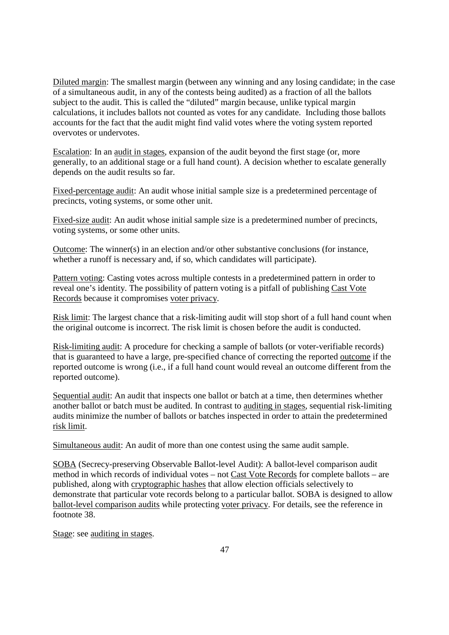Diluted margin: The smallest margin (between any winning and any losing candidate; in the case of a simultaneous audit, in any of the contests being audited) as a fraction of all the ballots subject to the audit. This is called the "diluted" margin because, unlike typical margin calculations, it includes ballots not counted as votes for any candidate. Including those ballots accounts for the fact that the audit might find valid votes where the voting system reported overvotes or undervotes.

Escalation: In an audit in stages, expansion of the audit beyond the first stage (or, more generally, to an additional stage or a full hand count). A decision whether to escalate generally depends on the audit results so far.

Fixed-percentage audit: An audit whose initial sample size is a predetermined percentage of precincts, voting systems, or some other unit.

Fixed-size audit: An audit whose initial sample size is a predetermined number of precincts, voting systems, or some other units.

Outcome: The winner(s) in an election and/or other substantive conclusions (for instance, whether a runoff is necessary and, if so, which candidates will participate).

Pattern voting: Casting votes across multiple contests in a predetermined pattern in order to reveal one's identity. The possibility of pattern voting is a pitfall of publishing Cast Vote Records because it compromises voter privacy.

Risk limit: The largest chance that a risk-limiting audit will stop short of a full hand count when the original outcome is incorrect. The risk limit is chosen before the audit is conducted.

Risk-limiting audit: A procedure for checking a sample of ballots (or voter-verifiable records) that is guaranteed to have a large, pre-specified chance of correcting the reported outcome if the reported outcome is wrong (i.e., if a full hand count would reveal an outcome different from the reported outcome).

Sequential audit: An audit that inspects one ballot or batch at a time, then determines whether another ballot or batch must be audited. In contrast to auditing in stages, sequential risk-limiting audits minimize the number of ballots or batches inspected in order to attain the predetermined risk limit.

Simultaneous audit: An audit of more than one contest using the same audit sample.

SOBA (Secrecy-preserving Observable Ballot-level Audit): A ballot-level comparison audit method in which records of individual votes – not Cast Vote Records for complete ballots – are published, along with cryptographic hashes that allow election officials selectively to demonstrate that particular vote records belong to a particular ballot. SOBA is designed to allow ballot-level comparison audits while protecting voter privacy. For details, see the reference in footnote 38.

Stage: see auditing in stages.